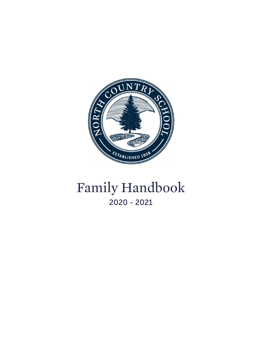

# Family Handbook 2020 - 2021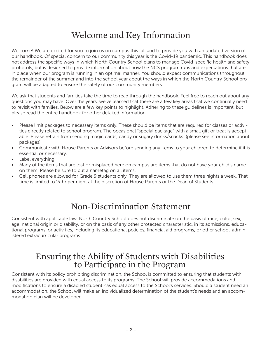## Welcome and Key Information

Welcome! We are excited for you to join us on campus this fall and to provide you with an updated version of our handbook. Of special concern to our community this year is the Covid-19 pandemic. This handbook does not address the specific ways in which North Country School plans to manage Covid-specific health and safety protocols, but is designed to provide information about how the NCS program runs and expectations that are in place when our program is running in an optimal manner. You should expect communications throughout the remainder of the summer and into the school year about the ways in which the North Country School program will be adapted to ensure the safety of our community members.

We ask that students and families take the time to read through the handbook. Feel free to reach out about any questions you may have. Over the years, we've learned that there are a few key areas that we continually need to revisit with families. Below are a few key points to highlight. Adhering to these guidelines is important, but please read the entire handbook for other detailed information.

- Please limit packages to necessary items only. These should be items that are required for classes or activities directly related to school program. The occasional "special package" with a small gift or treat is acceptable. Please refrain from sending magic cards, candy or sugary drinks/snacks (please see information about packages)
- Communicate with House Parents or Advisors before sending any items to your children to determine if it is essential or necessary.
- Label everything!
- Many of the items that are lost or misplaced here on campus are items that do not have your child's name on them. Please be sure to put a nametag on all items.
- Cell phones are allowed for Grade 9 students only. They are allowed to use them three nights a week. That time is limited to  $\frac{1}{2}$  hr per night at the discretion of House Parents or the Dean of Students.

## Non-Discrimination Statement

Consistent with applicable law, North Country School does not discriminate on the basis of race, color, sex, age, national origin or disability, or on the basis of any other protected characteristic, in its admissions, educational programs, or activities, including its educational policies, financial aid programs, or other school-administered extracurricular programs.

# Ensuring the Ability of Students with Disabilities to Participate in the Program

Consistent with its policy prohibiting discrimination, the School is committed to ensuring that students with disabilities are provided with equal access to its programs. The School will provide accommodations and modifications to ensure a disabled student has equal access to the School's services. Should a student need an accommodation, the School will make an individualized determination of the student's needs and an accommodation plan will be developed.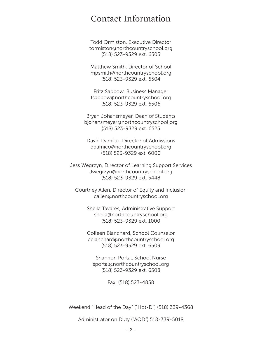### Contact Information

Todd Ormiston, Executive Director tormiston@northcountryschool.org (518) 523-9329 ext. 6505

Matthew Smith, Director of School mpsmith@northcountryschool.org (518) 523-9329 ext. 6504

Fritz Sabbow, Business Manager fsabbow@northcountryschool.org (518) 523-9329 ext. 6506

Bryan Johansmeyer, Dean of Students bjohansmeyer@northcountryschool.org (518) 523-9329 ext. 6525

David Damico, Director of Admissions ddamico@northcountryschool.org (518) 523-9329 ext. 6000

Jess Wegrzyn, Director of Learning Support Services Jwegrzyn@northcountryschool.org (518) 523-9329 ext. 5448

Courtney Allen, Director of Equity and Inclusion callen@northcountryschool.org

> Sheila Tavares, Administrative Support sheila@northcountryschool.org (518) 523-9329 ext. 1000

> Colleen Blanchard, School Counselor cblanchard@northcountryschool.org (518) 523-9329 ext. 6509

Shannon Portal, School Nurse sportal@northcountryschool.org (518) 523-9329 ext. 6508

Fax: (518) 523-4858

Weekend "Head of the Day" ("Hot-D") (518) 339-4368

Administrator on Duty ("AOD") 518-339-5018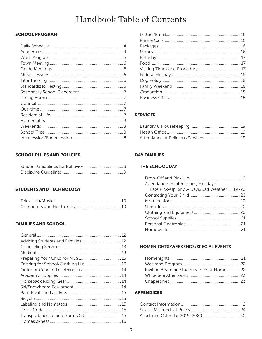## Handbook Table of Contents

#### **SCHOOL PROGRAM**

#### **SCHOOL RULES AND POLICIES**

#### **STUDENTS AND TECHNOLOGY**

#### **FAMILIES AND SCHOOL**

| Packing for School/Clothing List  13 |  |
|--------------------------------------|--|
| Outdoor Gear and Clothing List  14   |  |
|                                      |  |
|                                      |  |
|                                      |  |
|                                      |  |
|                                      |  |
|                                      |  |
|                                      |  |
|                                      |  |
|                                      |  |

#### **SERVICES**

| Attendance at Religious Services 19 |  |
|-------------------------------------|--|

#### **DAY FAMILIES**

#### THE SCHOOL DAY

| Attendance, Health Issues, Holidays,      |  |
|-------------------------------------------|--|
| Late Pick-Up, Snow Days/Bad Weather 19-20 |  |
|                                           |  |
|                                           |  |
|                                           |  |
|                                           |  |
|                                           |  |
|                                           |  |
|                                           |  |

#### HOMENIGHTS/WEEKENDS/SPECIAL EVENTS

| Inviting Boarding Students to Your Home22 |  |
|-------------------------------------------|--|
|                                           |  |
|                                           |  |

#### **APPENDICES**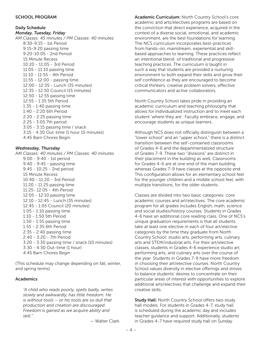#### SCHOOL PROGRAM

#### Daily Schedule

*Monday, Tuesday, Friday AM Classes: 45 minutes / PM Classes: 40 minutes* 8:30-9:15 - 1st Period 9:15-9:20 passing time 9:20-10:05 - 2nd Period 15 Minute Recess 10:20 - 11:05 - 3rd Period 11:05 - 11:10 passing time 11:10 - 11:55 - 4th Period 11:55 - 12:00 - passing time 12:00 - 12:35 - Lunch (35 minutes) 12:35 - 12:50 Council (15 minutes) 12:50 - 12:55 passing time 12:55 - 1:35 5th Period 1:35 - 1:40 passing time 1:40 - 2:20 6th Period 2:20 - 2:25 passing time 2:25 - 3:05 7th period 3:05 - 3:15 passing time / snack 3:15 - 4:30 Out-time (1 hour 15 minutes) 4:45 Barn Chores Begin

#### *Wednesday, Thursday*

*AM Classes: 40 minutes / PM Classes: 40 minutes* 9:00 - 9:40 - 1st period 9:40 - 9:45 - passing time 9:45 - 10:25 - 2nd period 15 Minute Recess 10:40 - 11:20 - 3rd Period 11:20 - 11:25 passing time 11:25- 12:05 - 4th Period 12:05 - 12:10 passing time 12:10 - 12:45 - Lunch (35 minutes) 12:45 - 1:05 Council (20 minutes) 1:05 - 1:10 passing time 1:10 - 1:50 5th Period 1:50 - 1:55 passing time 1:55 - 2:35 6th Period 2:35 - 2:40 passing time 2:40 - 3:20 - 7th Period 3:20 - 3:30 passing time / snack (10 minutes) 3:30 - 4:30 Out-time (1 hour) 4:45 Barn Chores Begin

(This schedule may change depending on fall, winter, and spring terms)

#### Academics

*"A child who reads poorly, spells badly, writes slowly and awkwardly, has little freedom. He is without tools – or his tools are so dull that production and creation are discouraged. Freedom is gained as we acquire ability and skill."*

— Walter Clark

Academic Curriculum: North Country School's core academic and arts/electives programs are based on the conviction that direct experience, acquired in the context of a diverse social, emotional, and academic environment, are the best foundations for learning. The NCS curriculum incorporates best-practices from hands-on, mainstream, experiential and skillbased approaches to learning. These practices reflect an intentional blend of traditional and progressive teaching practices. The curriculum is taught in such a way that students are provided a nurturing environment to both expand their skills and grow their self confidence as they are encouraged to become critical thinkers, creative problem solvers, effective communicators and active collaborators.

North Country School takes pride in providing an academic curriculum and teaching philosophy that allows for individualized instruction and to meet each student 'where they are'. Faculty embrace, engage, and encourage students as unique learners.

Although NCS does not officially distinguish between a "lower school" and an "upper school," there is a distinct transition between the self-contained classrooms of Grades 4-6 and the departmentalized structure of Grades 7-9. These two "divisions" are distinct in their placement in the building as well. Classrooms for Grades 4-6 are at one end of the main building, whereas Grades 7-9 have classes at the opposite end. This configuration allows for an elementary school feel for the younger children and a middle school feel, with multiple transitions, for the older students.

Classes are divided into two basic categories: core academic courses and art/electives. The core academic program for all grades includes English, math, science and social studies/history courses. Students in Grades 4-6 have an additional core reading class. One of NCS's unique graduation requirements is that all students take at least one elective in each of four art/elective categories by the time they graduate from North Country School: studio arts, performing arts, culinary arts and STEM/industrial arts. For their art/elective classes, students in Grades 4-6 experience studio art, performing arts, and culinary arts over the course of the year. Students in Grades 7-9 have more freedom in choosing their art/elective courses. North Country School values diversity in elective offerings and strives to balance students' desires to concentrate on their particular areas of interest with opportunities to explore additional arts/electives that challenge and expand their creative skills.

**Study Hall: North Country School offers two study** hall models. For students in Grades 4-7, study hall is scheduled during the academic day and includes teacher guidance and support. Additionally, students in Grades 4-7 have required study hall on Sunday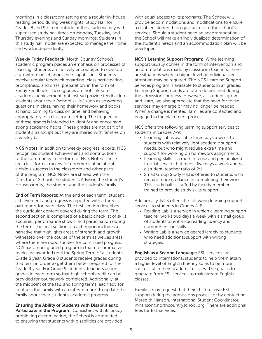mornings in a classroom setting and a regular in-house reading period during week nights. Study Hall for Grades 8 and 9 occur outside of the academic day with supervised study hall times on Monday, Tuesday, and Thursday evenings and Sunday mornings. Students in this study hall model are expected to manage their time and work independently.

Weekly Friday Feedback: North Country School's academic program places an emphasis on processes of learning. Students are actively encouraged to develop a growth mindset about their capabilities. Students receive regular feedback regarding class participation, promptness, and class preparation, in the form of Friday Feedback. These grades are not linked to academic achievement, but instead provide feedback to students about their "school skills," such as answering questions in class, having their homework and books at hand, coming to class on time, and behaving appropriately in a classroom setting. The frequency of these grades is intended to identify and encourage strong academic habits. These grades are not part of a student's transcript but they are shared with families on a weekly basis.

NCS Notes: In addition to weekly progress reports, NCS recognizes student achievement and contributions to the community in the form of NCS Notes. These are a less formal means for communicating about a child's success in the classroom and other parts of the program. NCS Notes are shared with the Director of School, the student's Advisor, the student's Houseparents, the student and the student's family.

End of Term Reports: At the end of each term, student achievement and progress is reported with a threepart report for each class. The first section describes the curricular content covered during the term. The second section is comprised of a basic checklist of skills acquired, performance shown, and participation during the term. The final section of each report includes a narrative that highlights areas of strength and growth witnessed over the course of the term as well as areas where there are opportunities for continued progress. NCS has a non-graded program in that no summative marks are awarded until the Spring Term of a student's Grade 8 year. Grade 8 students receive grades during that term in order to get them better prepared for their Grade 9 year. For Grade 9 students, teachers assign grades in each term so that high school credit can be provided for coursework completed. Additionally, at the midpoint of the fall, and spring terms, each advisor contacts the family with an interim report to update the family about their student's academic progress.

Ensuring the Ability of Students with Disabilities to Participate in the Program: Consistent with its policy prohibiting discrimination, the School is committed to ensuring that students with disabilities are provided

with equal access to its programs. The School will provide accommodations and modifications to ensure a disabled student has equal access to the school's services. Should a student need an accommodation, the School will make an individualized determination of the student's needs and an accommodation plan will be developed.

NCS's Learning Support Program: While learning support usually comes in the form of intervention and accommodations made by classroom teachers, there are situations where a higher level of individualized attention may be required. The NCS Learning Support Services program is available to students in all grades. Learning Support needs are often determined during the admissions process. However, as students grow and learn, we also appreciate that the need for these services may emerge or may no longer be needed. When a change is merited, families are contacted and engaged in the placement process.

NCS offers the following learning support services to students in Grades 7-9:

- Learning Lab is available three days a week to students with relatively light academic support needs, but who might require extra time and support for working on homework assignments.
- Learning Skills is a more intense and personalized tutorial service that meets five days a week and has a student-teacher ratio of 2:1.
- Small Group Study Hall is offered to students who require more guidance in completing their work. This study hall is staffed by faculty members trained to provide study skills support.

Additionally, NCS offers the following learning support services to students in Grades 4-8.

- Reading Lab is a service in which a learning support teacher works two days a week with a small group of students to enhance reading fluency and comprehension skills.
- Writing Lab is a service geared largely to students who need additional support with writing strategies.

English as a Second Language: ESL services are provided to international students to help them attain a higher level of English fluency so as to be more successful in their academic classes. The goal is to graduate from ESL services to mainstream English classes.

Families may request that their child receive ESL support during the admissions process or by contacting Meredith Hanson, International Student Coordinator, mhanson@northcountryschool.org. There are additional fees for ESL services.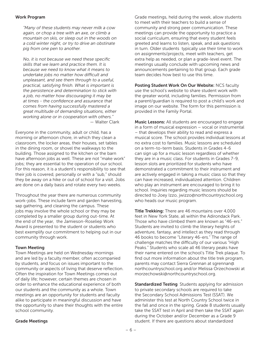#### Work Program

*"Many of these students may never milk a cow again, or chop a tree with an axe, or climb a mountain on skis, or sleep out in the woods on a cold winter night, or try to drive an obstinate pig from one pen to another.*

*No, it is not because we need these specific skills that we learn and practice them. It is because we need to know what it means to undertake jobs no matter how difficult and unpleasant, and see them through to a useful, practical, satisfying finish. What is important is the persistence and determination to stick with a job, no matter how discouraging it may be at times - the confidence and assurance that comes from having successfully mastered a great multitude of demanding situations, either working alone or in cooperation with others."* — Walter Clark

Everyone in the community, adult or child, has a morning or afternoon chore, in which they clean a classroom, the locker areas, their houses, set tables in the dining room, or shovel the walkways to the building. Those assigned to the kitchen or the barn have afternoon jobs as well. These are not "make work" jobs; they are essential to the operation of our school. For this reason, it is a student's responsibility to see that their job is covered, personally or with a "sub," should they be away on a hike or out of school for a visit. Jobs are done on a daily basis and rotate every two weeks.

Throughout the year there are numerous community work-jobs. These include farm and garden harvesting, sap gathering, and cleaning the campus. These jobs may involve the whole school or they may be completed by a smaller group during out-time. At the end of the year, the Jamieson-Roseliep Work Award is presented to the student or students who best exemplify our commitment to helping out in our community through work.

#### Town Meeting

Town Meetings are held on Wednesday mornings and are led by a faculty member, often accompanied by students, and focus on issues important to the community or aspects of living that deserve reflection. Often the inspiration for Town Meetings comes out of daily life; however, certain themes are chosen in order to enhance the educational experience of both our students and the community as a whole. Town meetings are an opportunity for students and faculty alike to participate in meaningful discussion and have the opportunity to share their thoughts with the entire school community.

Grade meetings, held during the week, allow students to meet with their teachers to build a sense of community and strong peer communication. These meetings can provide the opportunity to practice a social curriculum, ensuring that every student feels greeted and learns to listen, speak, and ask questions in turn. Older students typically use their time to work on assignments/projects, meet with teachers, get extra help as needed, or plan a grade-level event. The meetings usually conclude with upcoming news and announcements pertaining to that group. Each grade team decides how best to use this time.

Posting Student Work On Our Website: NCS faculty use the school's website to share student work with the greater world, including families. Permission from a parent/guardian is required to post a child's work and image on our website. The form for this permission is provided in the Family Portal.

Music Lessons: All students are encouraged to engage in a form of musical expression – vocal or instrumental – that develops their ability to read and express a musical score. The school provides individual lessons at no extra cost to families. Music lessons are scheduled on a term-to-term basis. Students in Grades 4-6 can sign up for a music lesson regardless of whether they are in a music class. For students in Grades 7-9, lesson slots are prioritized for students who have demonstrated a commitment to their instrument and are actively engaged in taking a music class so that they can have increased, individualized attention. Children who play an instrument are encouraged to bring it to school. Inquiries regarding music lessons should be directed to Joey Izzo, jwizzo@northcountryschool.org who heads our music program.

Title Trekking: There are 46 mountains over 4,000 feet in New York State, all within the Adirondack Park. Those who have climbed them are known as "46-ers." Students are invited to climb the literary heights of adventure, fantasy, and intellect as they read through 46 books to become "Literary 46-ers." The range of challenge matches the difficulty of our various "High Peaks." Students who scale all 46 literary peaks have their name entered on the school's Title Trek plaque. To find out more information about the title trek program, parents may contact Sierra Grennan at sgrennan@ northcountryschool.org and/or Melissa Orzechowski at morzechowski@northcountryschool.org.

**Standardized Testing** Students applying for admission to private secondary schools are required to take the Secondary School Admissions Test (SSAT). We administer this test at North Country School twice in the fall and once in the spring. Grade 8 students usually take the SSAT test in April and then take the SSAT again during the October and/or December as a Grade 9 student. If there are questions about standardized

#### Grade Meetings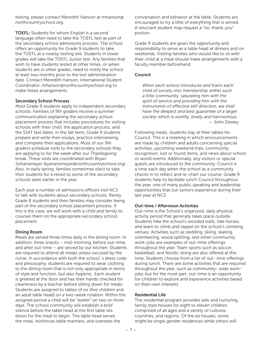testing, please contact Meredith Hanson at mhanson@ northcountryschool.org.

TOEFL: Students for whom English is a second language often need to take the TOEFL test as part of the secondary school admissions process. The school offers an opportunity for Grade 9 students to take the TOEFL at a nearby testing site. Students in lower grades will take the TOEFL Junior test. Any families that wish to have students tested at other times, or when students are in other grades, need to notify the school at least two months prior to the test administration date. Contact Meredith Hanson, International Student Coordinator, mhanson@northcountryschool.org to make these arrangements.

#### Secondary School Process

Most Grade 9 students apply to independent secondary schools. Families of 9th graders receive a summer communication explaining the secondary school placement process that includes procedures for visiting schools with their child, the application process, and the SSAT test dates. In the fall term, Grade 9 students prepare and write their essays, practice interviewing, and complete their applications. Most of our 9th graders schedule visits to the secondary schools they are applying to for the week after our Thanksgiving break. These visits are coordinated with Bryan Johansmeyer (bjohansmeyer@northcountryschool.org). Also, in early spring, families sometimes elect to take their students for a revisit to some of the secondary schools seen earlier in the year.

Each year a number of admissions officers visit NCS to talk with students about secondary schools. Rarely, Grade 8 students and their families may consider being part of the secondary school placement process. If this is the case, we will work with a child and family to counsel them on the appropriate secondary school placement.

#### Dining Room

Meals are served three times daily in the dining room. In addition, three snacks – mid-morning, before out-time, and after out-time – are served by our kitchen. Students are required to attend all meals unless excused by the nurse. In accordance with both the school´s dress code and philosophy, students are required to wear clothing to the dining room that is not only appropriate in terms of style and function, but also hygienic. Each student is greeted at the door and has their hands checked for cleanliness by a teacher before sitting down for meals. Students are assigned to tables of six (five children and an adult table head) on a two-week rotation. Within the assigned period a child will be "waiter" on two or more days. The school community will establish a brief silence before the table head at the first table sits down for the meal to begin. The table head serves the meal, reinforces table manners, and oversees the

conversation and behavior at the table. Students are encouraged to try a little of everything that is served. A reluctant student may request a "no-thank-you" portion.

Grade 9 students are given the opportunity and responsibility to serve as a table head at dinners and on weekends. Visiting families who would like to sit with their child at a meal should make arrangements with a faculty member beforehand.

#### Council

*When each school introduces and trains each child of society into membership within such a little community, saturating him with the spirit of service and providing him with the instruments of effective self direction, we shall have the deepest and best guarantee of a larger society which is worthy, lovely and harmonious.* — John Dewey

Following meals, students stay at their tables for Council. This is a meeting in which announcements are made by children and adults concerning special activities, upcoming weekend trips, community recognition, lost or found items, and news about school or world events. Additionally, any visitors or special guests are introduced to the community. Council is a time each day when the school as a community checks in to reflect and re-chart our course. Grade 9 students help to facilitate lunch Council throughout the year, one of many public speaking and leadership opportunities that our seniors experience during their last year at NCS.

#### Out-time / Afternoon Activities

Out-time is the School's organized, daily physical activity period that generally takes place outside. Students hike the school's wooded trails, ride horses, and learn to climb and rappel on the school's climbing venues. Activities such as sledding, skiing, skating, orienteering, wood splitting, and other community work-jobs are examples of out-time offerings throughout the year. Team sports such as soccer, basketball, and Nordic skiing are also offered at this time. Students choose from a list of out- time offerings during lunch. There are some activities that are required throughout the year, such as community- wide workjobs, but for the most part, out-time is an opportunity for children to explore and experience activities based on their own interests.

#### Residential Life

The residential program provides safe and nurturing, family style houses for eight to eleven children comprised of all ages and a variety of cultures, countries, and regions. Of the six houses, some might be single gender residences while others will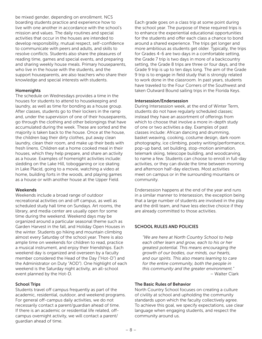be mixed gender, depending on enrollment. NCS boarding students practice and experience how to live with one another in accordance with the school's mission and values. The daily routines and special activities that occur in the houses are intended to develop responsibility, mutual respect, self-confidence to communicate with peers and adults, and skills to resolve conflicts. Students also share the pleasures of reading time, games and special events, and preparing and sharing weekly house meals. Primary houseparents, who live in the house with the students, and the support houseparents, are also teachers who share their knowledge and special interests with students.

#### **Homenights**

The schedule on Wednesdays provides a time in the houses for students to attend to housekeeping and laundry, as well as time for bonding as a house group. After classes, students go to their lockers in the ramp and, under the supervision of one of their houseparents, go through the clothing and other belongings that have accumulated during the week. These are sorted and the majority is taken back to the house. Once at the house, the children bag their dirty clothes, put away clean laundry, clean their room, and make up their beds with fresh linens. Children eat a home cooked meal in their houses, which they help prepare, and share an activity as a house. Examples of homenight activities include: sledding on the Lake Hill, tobogganing or ice skating in Lake Placid, going to a movie, watching a video at home, building forts in the woods, and playing games as a house or with another house at the Upper Field.

#### Weekends

Weekends include a broad range of outdoor recreational activities on and off campus, as well as scheduled study hall time on Sundays. Art rooms, the library, and media center are usually open for some time during the weekend. Weekend days may be organized around a particular seasonal theme such as Garden Harvest in the fall, and Holiday Open Houses in the winter. Students go hiking and mountain climbing almost every Saturday of the school year. There is also ample time on weekends for children to read, practice a musical instrument, and enjoy their friendships. Each weekend day is organized and overseen by a faculty member considered the Head of the Day ("Hot-D") and the Administrator on Duty "AOD"). One highlight of each weekend is the Saturday night activity, an all-school event planned by the Hot-D.

#### School Trips

Students travel off campus frequently as part of the academic, residential, outdoor, and weekend programs. For general off-campus daily activities, we do not necessarily contact a parent/guardian ahead of time. If there is an academic or residential life related, offcampus overnight activity, we will contact a parent/ guardian ahead of time.

Each grade goes on a class trip at some point during the school year. The purpose of these required trips is to enhance the experiential educational opportunities for the students and offer each class a chance to bond around a shared experience. The trips get longer and more ambitious as students get older. Typically, the trips for Grades 4-6 are two days in a comfortable setting, the Grade 7 trip is two days in more of a backcountry setting, the Grade 8 trips are three or four days, and the Grade 9 trip is up to ten days long. The aim of the Grade 9 trip is to engage in field study that is strongly related to work done in the classroom. In past years, students have traveled to the Four Corners of the Southwest and taken Outward Bound sailing trips in the Florida Keys.

#### Intersession/Endersession

During Intersession week, at the end of Winter Term, students do not have regularly scheduled classes; instead they have an assortment of offerings from which to choose that involve a more in-depth study of one or two activities a day. Examples of past classes include: African dancing and drumming, basket weaving, cooking, costume design, dark room photography, ice climbing, poetry writing/performance, pop-up band, set building, stop-motion animation, telemark skiing, telescope building, and woodcarving, to name a few. Students can choose to enroll in full-day activities, or they can divide the time between morning and afternoon half-day electives. Most activities meet on campus or in the surrounding mountains or community.

Endersession happens at the end of the year and runs in a similar manner to Intersession, the exception being that a large number of students are involved in the play and the drill team, and have less elective choice if they are already committed to those activities.

#### SCHOOL RULES AND POLICIES

*"We are here at North Country School to help each other learn and grow, each to his or her greatest potential. This means encouraging the growth of our bodies, our minds, our hearts, and our spirits. This also means learning to care for the entire community, both the people in this community and the greater environment."* – Walter Clark

#### The Basic Rules of Behavior

North Country School focuses on creating a culture of civility at school and upholding the community standards upon which the faculty collectively agree. To achieve this goal, we specify expectations, use clear language when engaging students, and respect the community around us.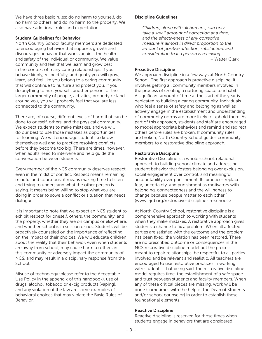We have three basic rules: do no harm to yourself, do no harm to others, and do no harm to the property. We also have additional rules and expectations.

#### Student Guidelines for Behavior

North Country School faculty members are dedicated to encouraging behavior that supports growth and discourages behavior that works against the health and safety of the individual or community. We value community and feel that we learn and grow best in the context of many caring relationships. If you behave kindly, respectfully, and gently you will grow, learn, and feel like you belong to a caring community that will continue to nurture and protect you. If you do anything to hurt yourself, another person, or the larger community of people, activities, property or land around you, you will probably feel that you are less connected to the community.

There are, of course, different levels of harm that can be done to oneself, others, and the physical community. We expect students to make mistakes, and we will do our best to use those mistakes as opportunities for learning. We will encourage students to know themselves well and to practice resolving conflicts before they become too big. There are times, however, when adults need to intervene and help guide the conversation between students.

Every member of the NCS community deserves respect, even in the midst of conflict. Respect means remaining mindful and courteous; it means making time to listen and trying to understand what the other person is saying. It means being willing to stop what you are doing in order to solve a conflict or situation that needs dialogue.

It is important to note that we expect an NCS student to exhibit respect for oneself, others, the community, and the property, whether they are on campus or elsewhere, and whether school is in session or not. Students will be proactively counseled on the importance of reflecting on the impact of their choices. We will educate children about the reality that their behavior, even when students are away from school, may cause harm to others in this community or adversely impact the community of NCS, and may result in a disciplinary response from the School.

Misuse of technology (please refer to the Acceptable Use Policy in the appendix of this handbook), use of drugs, alcohol, tobacco or e-cig products (vaping), and any violation of the law are some examples of behavioral choices that may violate the Basic Rules of Behavior.

#### Discipline Guidelines

*Children, along with all humans, can only take a small amount of correction at a time, and the effectiveness of any corrective measure is almost in direct proportion to the amount of positive affection, satisfaction, and consideration that a person is receiving.* – Walter Clark

#### Proactive Discipline

We approach discipline in a few ways at North Country School. The first approach is proactive discipline. It involves getting all community members involved in the process of creating a nurturing space to inhabit. A significant amount of time at the start of the year is dedicated to building a caring community. Individuals who feel a sense of safety and belonging as well as actively engage in the establishment and understanding of community norms are more likely to uphold them. As part of this approach, students and staff are encouraged to model appropriate behaviors and remind and redirect others before rules are broken. If community rules are broken, North Country School guides community members to a restorative discipline approach.

#### Restorative Discipline

Restorative Discipline is a whole-school, relational approach to building school climate and addressing student behavior that fosters belonging over exclusion, social engagement over control, and meaningful accountability over punishment. Its practices replace fear, uncertainty, and punishment as motivators with belonging, connectedness and the willingness to change because people matter to each other." (www.irjrd.org/restorative-discipline-in-schools)

At North Country School, restorative discipline is a comprehensive approach to working with students when they make mistakes. A restorative approach gives students a chance to fix a problem. When all affected parties are satisfied with the outcome and the problem has been fixed, the violation has been restored. There are no prescribed outcome or consequences in the NCS restorative discipline model but the process is meant to repair relationships, be respectful to all parties involved and be relevant and realistic. All teachers are encouraged to use restorative practices in working with students. That being said, the restorative discipline model requires time, the establishment of a safe space and trust between students and faculty members. When any of these critical pieces are missing, work will be done (sometimes with the help of the Dean of Students and/or school counselor) in order to establish these foundational elements.

#### Reactive Discipline

Reactive discipline is reserved for those times when students engage in behaviors that are considered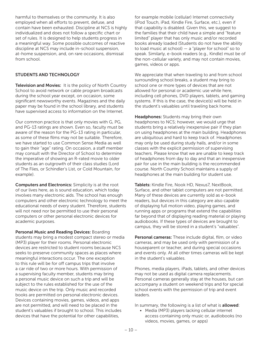harmful to themselves or the community. It is also employed when all efforts to prevent, defuse, and contain have been exhausted. Discipline at NCS is highly individualized and does not follow a specific chart or set of rules. It is designed to help students progress in a meaningful way. Some possible outcomes of reactive discipline at NCS may include in-school suspension, at-home suspension, and, on rare occasions, dismissal from school.

#### STUDENTS AND TECHNOLOGY

Television and Movies: It is the policy of North Country School to avoid network or cable program broadcasts during the school year except, on occasion, some significant newsworthy events. Magazines and the daily paper may be found in the school library, and students have supervised access to information on the Internet.

Our common practice is that only movies with G, PG, and PG-13 ratings are shown. Even so, faculty must be aware of the reason for the PG-13 rating in particular, as some of these films may not be suitable. Therefore, we have started to use Common Sense Media as well to gain their "age" rating. On occasion, a staff member may consult with the Director of School to determine the imperative of showing an R-rated movie to older students as an outgrowth of their class studies (Lord of The Flies, or Schindler's List, or Cold Mountain, for example).

Computers and Electronics: Simplicity is at the root of our lives here, as is sound education, which today involves many electronic aids. The school has enough computers and other electronic technology to meet the educational needs of every student. Therefore, students will not need nor be permitted to use their personal computers or other personal electronic devices for academic purposes.

Personal Music and Reading Devices: Boarding students may bring a modest compact stereo or media (MP3) player for their rooms. Personal electronic devices are restricted to student rooms because NCS seeks to preserve community spaces as places where meaningful interactions occur. The one exception to this rule will be for off campus trips that involve a car ride of two or more hours. With permission of a supervising faculty member, students may bring a personal music device on such a trip and will be subject to the rules established for the use of the music device on the trip. Only music and recorded books are permitted on personal electronic devices. Devices containing movies, games, videos, and apps are not permitted, and will need to be placed in the student's valuables if brought to school. This includes devices that have the potential for other capabilities,

for example mobile (cellular) Internet connectivity (iPod Touch, iPad, Kindle Fire, Surface, etc.), even if that capability is disabled. Given this, we suggest to the families that their child have a simple and "feature limited" player that has only music and/or recorded books already loaded (Students do not have the ability to load music at school)  $-$  a "player for school" so to speak. Similarly, e-book readers (e.g., Kindle) must be of the non-cellular variety, and may not contain movies, games, videos or apps.

We appreciate that when traveling to and from school surrounding school breaks, a student may bring to school one or more types of devices that are not allowed for personal or academic use while here, including cell phones, DVD players, tablets, and gaming systems. If this is the case, the device(s) will be held in the student's valuables until traveling back home.

Headphones: Students may bring their own headphones to NCS; however, we would urge that students bring a relatively inexpensive pair if they plan on using headphones at the main building. Headphones are ubiquitous and hard to keep track of. Headphones may only be used during study halls, and/or in some classes with the explicit permission of supervising teachers. Please know that we are unable to keep track of headphones from day to day and that an inexpensive pair for use in the main building is the recommended course. North Country School maintains a supply of headphones at the main building for student use.

Tablets: Kindle Fire, Nook HD, Nexus7, NextBook, Surface, and other tablet computers are not permitted. Many of these devices are currently sold as e-book readers, but devices in this category are also capable of displaying full motion video, playing games, and running apps or programs that extend the capabilities far beyond that of displaying reading material or playing audiobooks. If these types of devices are brought to campus, they will be stored in a student's "valuables".

Personal cameras: These include digital, film, or video cameras, and may be used only with permission of a houseparent or teacher, and during special occasions and events only. At all other times cameras will be kept in the student's valuables.

Phones, media players, iPads, tablets, and other devices may not be used as digital camera replacements. Personal cameras generally stay at the houses, but can accompany a student on weekend trips and for special school events with the permission of trip and event leaders.

In summary, the following is a list of what is **allowed**:

• Media (MP3) players lacking cellular internet access containing only music or, audiobooks (no videos, movies, games, or apps)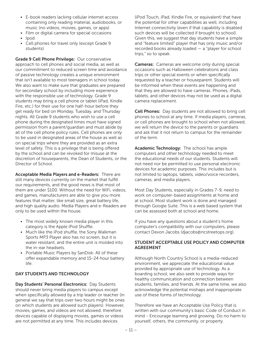- E-book readers lacking cellular internet access containing only reading material, audiobooks, or music (no videos, movies, games, or apps)
- Film or digital camera for special occasions
- Ipod
- Cell phones for travel only (except Grade 9 students)

Grade 9 Cell Phone Privilege: Our conservative approach to cell phones and social media, as well as our commitment to reduced screen time and avoidance of passive technology creates a unique environment that isn't available to most teenagers in school today. We also want to make sure that graduates are prepared for secondary school by including more experience with the responsible use of technology. Grade 9 students may bring a cell phone or tablet (iPad, Kindle Fire, etc.) for their use for one half-hour before they get ready for bed on Monday, Tuesday, and Thursday nights. All Grade 9 students who wish to use a cell phone during the designated times must have signed permission from a parent/guardian and must abide by all of the cell phone policy rules. Cell phones are only to be used in designated areas of the house as well as on special trips where they are provided as an extra level of safety. This is a privilege that is being offered by the school and can be revoked for misuse at the discretion of houseparents, the Dean of Students, or the Director of School.

Acceptable Media Players and e-Readers: There are still many devices currently on the market that fulfill our requirements, and the good news is that most of them are under \$100. Without the need for WiFi, videos, and games, manufacturers are able to give you more features that matter, like small size, great battery life, and high quality audio. Media Players and e-Readers are only to be used within the house.

- The most widely known media player in this category is the Apple iPod Shuffle.
- Much like the iPod shuffle, the Sony Walkman Sports MP3 Player also has no screen, but it is water resistant, and the entire unit is molded into the in-ear headsets.
- Portable Music Players by SanDisk: All of these offer expandable memory and 15-24 hour battery life.

#### DAY STUDENTS AND TECHNOLOGY

Day Students' Personal Electronics: Day Students should never bring media players to campus except when specifically allowed by a trip leader or teacher (in general we say that trips over two hours might be ones on which students are allowed such players). However, movies, games, and videos are not allowed, therefore devices capable of displaying movies, games or videos are not permitted at any time. This includes devices

(iPod Touch, iPad, Kindle Fire, or equivalent) that have the potential for other capabilities as well, including Internet connectivity (even if that capability is disabled such devices will be collected if brought to school). Given this, we suggest that day students have a simple and "feature limited" player that has only music and/or recorded books already loaded — a "player for school trips," so to speak.

Cameras: Cameras are welcome only during special occasions such as Halloween celebrations and class trips or other special events or when specifically requested by a teacher or houseparent. Students will be informed when these events are happening and that they are allowed to have cameras. Phones, iPads, tablets, and other devices may not be used as a digital camera replacement.

Cell Phones: Day students are not allowed to bring cell phones to school at any time. If media players, cameras, or cell phones are brought to school when not allowed, we will return the device to the parents or guardians and ask that it not return to campus for the remainder of the term.

Academic Technology: The school has ample computers and other technology needed to meet the educational needs of our students. Students will not need nor be permitted to use personal electronic devices for academic purposes. This includes but is not limited to laptops, tablets, video/voice recorders, cameras, and media players.

Most Day Students, especially in Grades 7-9, need to work on computer-based assignments at home and at school. Most student work is done and managed through Google Suite. This is a web based system that can be assessed both at school and home.

If you have any questions about a student's home computer's compatibility with our computers, please contact Devon Jacobs (djacobs@ncstreetops.org).

#### STUDENT ACCEPTABLE USE POLICY AND COMPUTER AGREEMENT

Although North Country School is a media-reduced environment, we appreciate the educational value provided by appropriate use of technology. As a boarding school, we also seek to provide ways for healthy communication and connection between students, families, and friends. At the same time, we also acknowledge the potential mishaps and inappropriate use of these forms of technology.

Therefore we have an Acceptable Use Policy that is written with our community's basic Code of Conduct in mind - Encourage learning and growing. Do no harm to yourself, others, the community, or property.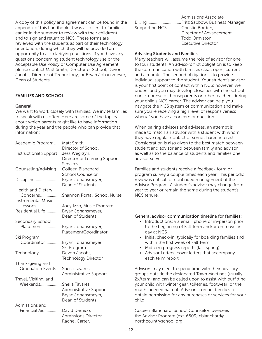A copy of this policy and agreement can be found in the appendix of this handbook. It was also sent to families earlier in the summer to review with their child(ren) and to sign and return to NCS. These forms are reviewed with the students as part of their technology orientation, during which they will be provided an opportunity to ask clarifying questions. If you have any questions concerning student technology use or the Acceptable Use Policy or Computer Use Agreement, please contact Matt Smith, Director of School; Devon Jacobs, Director of Technology; or Bryan Johansmeyer, Dean of Students.

#### FAMILIES AND SCHOOL

#### General

We want to work closely with families. We invite families to speak with us often. Here are some of the topics about which parents might like to have information during the year and the people who can provide that information:

| Academic Program  Matt Smith,         |                                      |
|---------------------------------------|--------------------------------------|
|                                       | Director of School                   |
| Instructional SupportJess Wegrzyn,    |                                      |
|                                       | Director of Learning Support         |
|                                       | Services                             |
| Counseling/AdvisingColleen Blanchard, |                                      |
|                                       | <b>School Counselor</b>              |
| Discipline Bryan Johansmeyer,         |                                      |
|                                       | Dean of Students                     |
| <b>Health and Dietary</b>             |                                      |
|                                       | ConcernsShannon Portal, School Nurse |
| <b>Instrumental Music</b>             |                                      |
|                                       | Lessons Joey Izzo, Music Program     |
| Residential LifeBryan Johansmeyer,    |                                      |
|                                       | Dean of Students                     |
| Secondary School                      |                                      |
|                                       | PlacementBryan Johansmeyer,          |
|                                       | PlacementCoordinator                 |
| Ski Program                           |                                      |
|                                       | Coordinator  Bryan Johansmeyer,      |
|                                       | Ski Program                          |
| TechnologyDevon Jacobs,               |                                      |
|                                       | <b>Technology Director</b>           |
| Thanksgiving and                      |                                      |
| Graduation EventsSheila Tavares,      |                                      |
|                                       | Administrative Support               |
| Travel, Visiting, and                 |                                      |
| WeekendsSheila Tavares,               |                                      |
|                                       | Administrative Support               |
|                                       | Bryan Johansmeyer,                   |
|                                       | Dean of Students                     |
| Admissions and                        |                                      |
| Financial Aid David Damico,           |                                      |
|                                       | <b>Admissions Director</b>           |
|                                       | Rachel Carter,                       |

|                                | <b>Admissions Associate</b> |
|--------------------------------|-----------------------------|
|                                |                             |
| Supporting NCSChristie Borden, |                             |
|                                | Director of Advancement     |
|                                | Todd Ormiston.              |
|                                | <b>Executive Director</b>   |

#### Advising Students and Families

Many teachers will assume the role of advisor for one to four students. An advisor's first obligation is to keep the communication with families clear, open, current and accurate. The second obligation is to provide individual support to the student. Your student's advisor is your first point of contact within NCS; however, we understand you may develop close ties with the school nurse, counselor, houseparents or other teachers during your child's NCS career. The advisor can help you navigate the NCS system of communication and make sure you're receiving a high level of responsiveness when/if you have a concern or question.

When pairing advisors and advisees, an attempt is made to match an advisor with a student with whom they have regular contact or some shared interests. Consideration is also given to the best match between student and advisor and between family and advisor, as well as to the balance of students and families one advisor serves.

Families and students receive a feedback form or program survey a couple times each year. This periodic review is critical for continued management of the Advisor Program. A student's advisor may change from year to year or remain the same during the student's NCS tenure.

#### General advisor communication timeline for families:

- Introductions: via email, phone or in-person prior to the beginning of Fall Term and/or on move-in day at NCS
- Initial check-in: typically for boarding families and within the first week of Fall Term
- Midterm progress reports (fall, spring)
- Advisor Letters: cover letters that accompany each term report

Advisors may elect to spend time with their advisory groups outside the designated Town Meetings (usually 2x/term) and can be called upon to assist with outfitting your child with winter gear, toiletries, footwear or the much-needed haircut! Advisors contact families to obtain permission for any purchases or services for your child.

Colleen Blanchard, School Counselor, oversees the Advisor Program (ext. 6509) cblanchard@ northcountryschool.org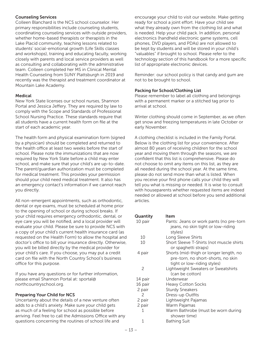#### Counseling Services

Colleen Blanchard is the NCS school counselor. Her primary responsibilities include counseling students, coordinating counseling services with outside providers, whether home-based therapists or therapists in the Lake Placid community, teaching lessons related to students' social-emotional growth (Life Skills classes and workshops), training and educating faculty, working closely with parents and local service providers as well as consulting and collaborating with the administrative team. Colleen completed her MS in Clinical Mental Health Counseling from SUNY Plattsburgh in 2019 and recently was the therapist and treatment coordinator at Mountain Lake Academy.

#### Medical

New York State licenses our school nurses, Shannon Portal and Jessica Jeffery. They are required by law to comply with the Scope and Standards of Professional School Nursing Practice. These standards require that all students have a current health form on file at the start of each academic year.

The health form and physical examination form (signed by a physician) should be completed and returned to the health office at least two weeks before the start of school. Please note the immunizations that are now required by New York State before a child may enter school, and make sure that your child's are up-to-date. The parent/guardian authorization must be completed for medical treatment. This provides your permission should your child need medical treatment. It also has an emergency contact's information if we cannot reach you directly.

All non-emergent appointments, such as orthodontic, dental or eye exams, must be scheduled at home prior to the opening of school or during school breaks. If your child requires emergency orthodontic, dental, or eye care you will be notified, and a local provider will evaluate your child. Please be sure to provide NCS with a copy of your child's current health insurance card (as requested on the Health Form) to allow the hospital and doctor's office to bill your insurance directly. Otherwise, you will be billed directly by the medical provider for your child's care. If you choose, you may put a credit card on file with the North Country School's business office for this purpose.

If you have any questions or for further information, please email Shannon Portal at: sportal@ northcountryschool.org.

#### Preparing Your Child for NCS

Uncertainty about the details of a new venture often adds to a child's anxiety. Make sure your child gets as much of a feeling for school as possible before arriving. Feel free to call the Admissions Office with any questions concerning the routines of school life and

encourage your child to visit our website. Make getting ready for school a joint effort. Have your child see what they already own from the clothing list and what is needed. Help your child pack. In addition, personal electronics (handheld electronic game systems, cell phones, DVD players, and PDAs) are not allowed to be kept by students and will be stored in your child's "valuables" if brought to school. Please refer to the technology section of this handbook for a more specific list of appropriate electronic devices.

Reminder: our school policy is that candy and gum are not to be brought to school.

#### Packing for School/Clothing List

Please remember to label all clothing and belongings with a permanent marker or a stitched tag prior to arrival at school.

Winter clothing should come in September, as we often get snow and freezing temperatures in late October or early November.

A clothing checklist is included in the Family Portal. Below is the clothing list for your convenience. After almost 80 years of receiving children for the school year and moving them through the seasons, we are confident that this list is comprehensive. Please do not choose to omit any items on this list, as they are all needed during the school year. At the same time, please do not send more than what is listed. When you receive your first phone calls your child they will tell you what is missing or needed. It is wise to consult with houseparents whether requested items are indeed needed or allowed at school before you send additional articles.

#### Quantity Item

| Pants: Jeans or work pants (no pre-torn  |
|------------------------------------------|
| jeans, no skin tight or low-riding       |
| styles)                                  |
| Long Sleeve Shirts                       |
| Short Sleeve T-Shirts (not muscle shirts |
| or spaghetti straps)                     |
| Shorts (mid-thigh or longer length, no   |
| pre-torn, no short-shorts, no skin       |
| tight or low-riding styles)              |
| Lightweight Sweaters or Sweatshirts      |
| (can be cotton)                          |
| Underwear                                |
| <b>Heavy Cotton Socks</b>                |
| <b>Sturdy Sneakers</b>                   |
| Dress-up Outfits                         |
| Lightweight Pajamas                      |
|                                          |
| Warm Pajamas                             |
| Warm Bathrobe (must be worn during       |
| shower time)                             |
| Bathing Suit                             |
|                                          |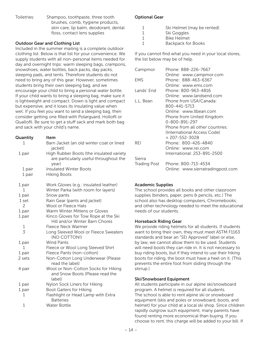Toiletries: Shampoo, toothpaste, three tooth brushes, comb, hygiene products, skin care, lip balm, deodorant, dental floss, contact lens supplies

#### Outdoor Gear and Clothing List

Included in the summer mailing is a complete outdoor clothing list. Below is that list for your convenience. We supply students with all non-personal items needed for day and overnight trips: warm sleeping bags, crampons, snowshoes, water bottles, back packs, day packs, sleeping pads, and tents. Therefore students do not need to bring any of this gear. However, sometimes students bring their own sleeping bag, and we encourage your child to bring a personal water bottle. If your child wants to bring a sleeping bag, make sure it is lightweight and compact. Down is light and compact but expensive, and it loses its insulating value when wet. If you feel you want to send a sleeping bag, then consider getting one filled with Polarguard, Hollofil or Quallofil. Be sure to get a stuff sack and mark both bag and sack with your child's name.

| Quantity       | Item                                                                                        |
|----------------|---------------------------------------------------------------------------------------------|
| 1              | Barn Jacket (an old winter coat or lined<br>jacket)                                         |
| 1 pair         | High Rubber Boots (the insulated variety<br>are particularly useful throughout the<br>year) |
| 1 pair         | <b>Insulated Winter Boots</b>                                                               |
| 1 pair         | <b>Hiking Boots</b>                                                                         |
| 1 pair         | Work Gloves (e.g.: insulated leather)                                                       |
| 1              | Winter Parka (with room for layers)                                                         |
| 1 pair         | Snow pants                                                                                  |
| 1 set          | Rain Gear (pants and jacket)                                                                |
| 2              | Wool or Fleece Hats                                                                         |
| 1 pair         | Warm Winter Mittens or Gloves                                                               |
| 1 pair         | Kinco Gloves for Tow Rope at the Ski<br>Hill and/or Winter Barn Chores                      |
| 1              | Fleece Neck Warmer                                                                          |
| $\overline{3}$ | Long Sleeved Wool or Fleece Sweaters<br>(NO COTTON!)                                        |
| 1 pair         | <b>Wind Pants</b>                                                                           |
| 1              | Fleece or Wool Long Sleeved Shirt                                                           |
| 1 pair         | Fleece Pants (non-cotton)                                                                   |
| 2 sets         | Non-Cotton Long Underwear (Please<br>read the label)                                        |
| 4 pair         | Wool or Non-Cotton Socks for Hiking<br>and Snow Boots (Please read the<br>label)            |
| 1 pair         | Nylon Sock Liners for Hiking                                                                |
| 1 pair         | <b>Boot Gaiters for Hiking</b>                                                              |
| 1              | Flashlight or Head Lamp with Extra<br><b>Batteries</b>                                      |
| $\mathbf{1}$   | <b>Water Bottle</b>                                                                         |

#### Optional Gear

- 1 Ski Helmet (may be rented)
- 1 Ski Goggles
- 1 Bike Helmet
- 1 Backpack for Books

If you cannot find what you need in your local stores, the list below may be of help.

| Campmor      | Phone: 888-226-7667               |
|--------------|-----------------------------------|
|              | Online: www.campmor.com           |
| <b>FMS</b>   | Phone: 888-463-6367               |
|              | Online: www.ems.com               |
| Lands' End   | Phone: 800-963-4816               |
|              | Online: www.landsend.com          |
| L.L. Bean    | Phone from USA/Canada:            |
|              | 800-441-5713                      |
|              | Online: www.llbean.com            |
|              | Phone from United Kingdom:        |
|              | 0-800-891-297                     |
|              | Phone from all other countries:   |
|              | (International Access Code)       |
|              | $+207 - 552 - 3028$               |
| RFI          | Phone: 800-426-4840               |
|              | Online: www.rei.com               |
|              | International: 253-891-2500       |
| Sierra       |                                   |
| Trading Post | Phone: 800-713-4534               |
|              | Online: www.sierratradingpost.com |

#### Academic Supplies

The school provides all books and other classroom supplies (binders, paper, pens & pencils, etc.) The school also has desktop computers, Chromebooks, and other technology needed to meet the educational needs of our students.

#### Horseback Riding Gear

We provide riding helmets for all students. If students want to bring their own, they must meet ASTM F1163 standards and bear an "SEI Approved" label or else, by law, we cannot allow them to be used. Students will need boots they can ride in. It is not necessary to buy riding boots, but if they intend to use their hiking boots for riding, the boot must have a heel on it. (This prevents the entire foot from sliding through the stirrup.)

#### Ski/Snowboard Equipment

All students participate in our alpine ski/snowboard program. A helmet is required for all students. The school is able to rent alpine ski or snowboard equipment (skis and poles or snowboard, boots, and helmet) for your child at a local ski shop. Since children rapidly outgrow such equipment, many parents have found renting more economical than buying. If you choose to rent, this charge will be added to your bill. If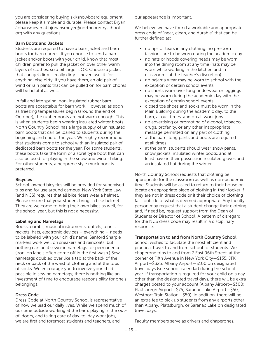you are considering buying ski/snowboard equipment, please keep it simple and durable. Please contact Bryan Johansmeyer at bjohansmeyer@northcountryschool. org with any questions.

#### Barn Boots and Jackets

Students are required to have a barn jacket and barn boots for barn chores. If you choose to send a barn jacket and/or boots with your child, know that most children prefer to pull the jacket on over other warm layers of clothes, so a bit large is OK. Choose a jacket that can get dirty – really dirty – never-use-it-foranything-else dirty. If you have them, an old pair of wind or rain pants that can be pulled on for barn chores will be helpful as well.

In fall and late spring, non-insulated rubber barn boots are acceptable for barn work. However, as soon as freezing temperatures begin (around the end of October), the rubber boots are not warm enough. This is when students begin wearing insulated winter boots. North Country School has a large supply of uninsulated barn boots that can be loaned to students during the beginning and end of the year. We highly recommend that students come to school with an insulated pair of dedicated barn boots for the year. For some students, these boots take the form of a sorel type boot that can also be used for playing in the snow and winter hiking. For other students, a neoprene style muck boot is preferred.

#### **Bicycles**

School-owned bicycles will be provided for supervised trips and for use around campus. New York State Law (and NCS) requires that all bike riders wear a helmet. Please ensure that your student brings a bike helmet. They are welcome to bring their own bikes as well, for the school year, but this is not a necessity.

#### Labeling and Nametags

Books, combs, musical instruments, duffels, tennis rackets, hats, electronic devices – everything – needs to be labeled with your child's name. Sanford Sharpie markers work well on sneakers and raincoats, but nothing can beat sewn-in nametags for permanence. (iron-on labels often come off in the first wash.) Sew nametags doubled over like a tab at the back of the neck or back of the waist of clothing and at the tops of socks. We encourage you to involve your child if possible in sewing nametags; there is nothing like an investment of time to encourage responsibility for one's belongings.

#### Dress Code

Dress Code at North Country School is representative of how we lead our daily lives. While we spend much of our time outside working at the barn, playing in the outof-doors, and taking care of day-to-day work jobs, we are first and foremost students and teachers, and

our appearance is important.

We believe we have found a workable and appropriate dress code of "neat, clean, and durable" that can be further defined as:

- no rips or tears in any clothing, no pre-torn fashions are to be worn during the academic day
- no hats or hoods covering heads may be worn into the dining room at any time (hats may be worn while working in the kitchen and in classrooms at the teacher's discretion)
- no pajama wear may be worn to school with the exception of certain school events
- no shorts worn over long underwear or leggings may be worn during the academic day with the exception of certain school events
- closed toe shoes and socks must be worn in the Main Building during the academic day, to the barn, at out-times, and on all work jobs
- no advertising or promoting of alcohol, tobacco, drugs, profanity, or any other inappropriate message permitted on any part of clothing
- at the barn, long pants and boots are required at all times
- at the barn, students should wear snow pants, snow jackets, insulated winter boots, and at least have in their possession insulated gloves and an insulated hat during the winter.

North Country School requests that clothing be appropriate for the classroom as well as non-academic time. Students will be asked to return to their house or locate an appropriate piece of clothing in their locker if they are not in dress code or if their choice of clothing falls outside of what is deemed appropriate. Any faculty person may request that a student change their clothing and, if need be, request support from the Dean of Students or Director of School. A pattern of disregard for the NCS dress code may result in a disciplinary response.

#### Transportation to and from North Country School

School wishes to facilitate the most efficient and practical travel to and from school for students. We chaperone trips to and from 7 East 96th Street, at the corner of Fifth Avenue in New York City—\$135. JFK Airport—\$325; Albany Airport—\$100 on designated travel days (see school calendar) during the school year. If transportation is required for your child on a day other than the designated travel days, there will be extra charges posted to your account (Albany Airport—\$300; Plattsburgh Airport—\$75; Saranac Lake Airport—\$50; Westport Train Station—\$50). In addition, there will be an extra fee to pick up students from any airports other than Albany, Plattsburgh, or Saranac Lake on designated travel days.

Faculty members serve as drivers and chaperones,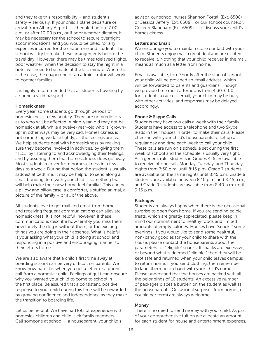and they take this responsibility – and student's safety – seriously. If your child's plane departure or arrival from Albany Airport is scheduled before 7:00 a.m. or after 10:00 p.m., or if poor weather dictates, it may be necessary for the school to secure overnight accommodations, and you would be billed for any expenses incurred for the chaperone and student. The school will try to make these arrangements before the travel day. However, there may be times (delayed flights, poor weather) when the decision to stay the night in a hotel will need to be made at the last minute. When this is the case, the chaperone or an administrator will work to contact families.

It is highly recommended that all students traveling by air bring a valid passport.

#### Homesickness

Every year, some students go through periods of homesickness, a few acutely. There are no predictors as to who will be affected. A nine-year-old may not be homesick at all, while a twelve-year-old who is "grownup" in other ways may be very sad. Homesickness is not something we take lightly, as the feelings are real. We help students deal with homesickness by making sure they become involved in activities, by giving them "TLC," by listening to and acknowledging their feelings, and by assuring them that homesickness does go away. Most students recover from homesickness in a few days to a week. During that period the student is usually saddest at bedtime. It may be helpful to send along a small bonding item with your child – something that will help make their new home feel familiar. This can be a pillow and pillowcase, a comforter, a stuffed animal, a picture of the family – or all of the above.

All students love to get mail and email from home and receiving frequent communications can alleviate homesickness. It is not helpful, however, if these communications describe how terribly you miss them, how lonely the dog is without them, or the exciting things you are doing in their absence. What is helpful is your asking what your child is doing at school and responding in a positive and encouraging manner to their letters home.

We are also aware that a child's first time away at boarding school can be very difficult on parents. We know how hard it is when you get a letter or a phone call from a homesick child. Feelings of guilt can obscure why you wanted your child to come to school in the first place. Be assured that a consistent, positive response to your child during this time will be rewarded by growing confidence and independence as they make the transition to boarding life.

Let us be helpful. We have had lots of experience with homesick children and child-sick family members. Call someone at school – a houseparent, your child's

advisor, our school nurses Shannon Portal (Ext. 6508) or Jessica Jeffery (Ext. 6508), or our school counselor, Colleen Blanchard (Ext. 6509) – to discuss your child's homesickness.

#### Letters and Email

We encourage you to maintain close contact with your child. Students enjoy mail a great deal and are excited to receive it. Nothing that your child receives in the mail means as much as a letter from home.

Email is available, too. Shortly after the start of school, your child will be provided an email address, which will be forwarded to parents and guardians. Though we provide time most afternoons from 4:30-6:00 for students to access email, your child may be busy with other activities, and responses may be delayed accordingly.

#### Phone & Skype Calls

Students may have two calls a week with their family. Students have access to a telephone and two Skype iPads in their houses in order to make their calls. Please check in with your child's houseparents to set up a regular day and time each week to call your child. These calls are run on a schedule set during the first week of school and the schedule is usually very tight. As a general rule, students in Grades 4-6 are available to receive phone calls Monday, Tuesday, and Thursday nights from 7:30 p.m. until 8:15 p.m. Grade 7 students are available on the same nights until 8:45 p.m. Grade 8 students are available between 8:10 p.m. and 8:45 p.m., and Grade 9 students are available from 8:40 p.m. until 9:15 p.m.

#### Packages

Students are always happy when there is the occasional surprise to open from home. If you are sending edible treats, which are greatly appreciated, please keep in mind our commitment to healthy foods and limited amounts of empty calories. Houses have "snacks" some evenings. If you would like to send some healthful, non-candy goodies for your child to share with the house, please contact the houseparents about the parameters for "eligible" snacks. If snacks are excessive, or beyond what is deemed "eligible," then they will be kept safe and returned when your child leaves campus to return home. If you send clothing, then remember to label them beforehand with your child's name. Please understand that the houses are packed with all the belongings of 10 students. An excessive number of packages places a burden on the student as well as the houseparents. Occasional surprises from home (a couple per term) are always welcome.

#### Money

There is no need to send money with your child. As part of your comprehensive tuition we allocate an amount for each student for house and entertainment expenses,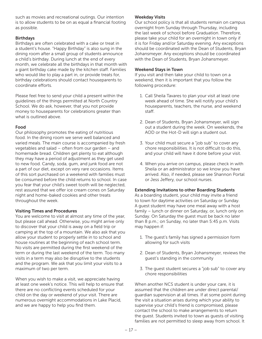such as movies and recreational outings. Our intention is to allow students to be on as equal a financial footing as possible.

#### **Birthdays**

Birthdays are often celebrated with a cake or treat in a student's house. "Happy Birthday" is also sung in the dining room after a small group of students announce a child's birthday. During lunch at the end of every month, we celebrate all the birthdays in that month with a giant birthday cake made by the kitchen staff. Families who would like to play a part in, or provide treats for, birthday celebrations should contact houseparents to coordinate efforts.

Please feel free to send your child a present within the guidelines of the things permitted at North Country School. We do ask, however, that you not provide money to houseparents for celebrations greater than what is outlined above

#### Food

Our philosophy promotes the eating of nutritious food. In the dining room we serve well balanced and varied meals. The main course is accompanied by fresh vegetables and salad – often from our garden – and homemade bread. Children get plenty to eat although they may have a period of adjustment as they get used to new food. Candy, soda, gum, and junk food are not a part of our diet, except on very rare occasions. Items of this sort purchased on a weekend with families must be consumed before the child returns to school. In case you fear that your child's sweet tooth will be neglected, rest assured that we offer ice cream cones on Saturday night and home-baked cookies and other treats throughout the week.

#### Visiting Times and Procedures

You are welcome to visit at almost any time of the year, but please call ahead. Otherwise, you might arrive only to discover that your child is away on a field trip or camping at the top of a mountain. We also ask that you allow your student to properly settle in to school and house routines at the beginning of each school term. No visits are permitted during the first weekend of the term or during the last weekend of the term. Too many visits in a term may also be disruptive to the students and the program. We ask that you limit your visits to a maximum of two per term.

When you wish to make a visit, we appreciate having at least one week's notice. This will help to ensure that there are no conflicting events scheduled for your child on the day or weekend of your visit. There are numerous overnight accommodations in Lake Placid, and we are happy to help you find them.

#### Weekday Visits

Our school policy is that all students remain on campus overnight from Sunday through Thursday, including the last week of school before Graduation. Therefore, please take your child for an overnight in town only if it is for Friday and/or Saturday evening. Any exceptions should be coordinated with the Dean of Students, Bryan Johansmeyer. Any exceptions should be coordinated with the Dean of Students, Bryan Johansmeyer.

#### Weekend Stays in Town

If you visit and then take your child to town on a weekend, then it is important that you follow the following procedure:

- 1. Call Sheila Tavares to plan your visit at least one week ahead of time. She will notify your child's houseparents, teachers, the nurse, and weekend staff.
- 2. Dean of Students, Bryan Johansmeyer, will sign out a student during the week. On weekends, the AOD or the Hot-D will sign a student out.
- 3. Your child must secure a "job sub" to cover any chore responsibilities. It is not difficult to do this, and your child will have it done before your visit.
- 4. When you arrive on campus, please check in with Sheila or an administrator so we know you have arrived. Also, if needed, please see Shannon Portal or Jess Jeffery, our school nurses.

#### Extending Invitations to other Boarding Students

As a boarding student, your child may invite a friend to town for daytime activities on Saturday or Sunday. A guest student may have one meal away with a host family – lunch or dinner on Saturday, or, lunch only on Sunday. On Saturday the guest must be back no later than 8 p.m.; on Sunday, no later than 5:45 p.m. Visits may happen if:

- 1. The guest's family has signed a permission form allowing for such visits
- 2. Dean of Students, Bryan Johansmeyer, reviews the guest's standing in the community
- 3. The guest student secures a "job sub" to cover any chore responsibilities

When another NCS student is under your care, it is assumed that the children are under direct parental/ guardian supervision at all times. If at some point during the visit a situation arises during which your ability to supervise your child's friend is compromised, please contact the school to make arrangements to return the guest. Students invited to town as guests of visiting families are not permitted to sleep away from school. It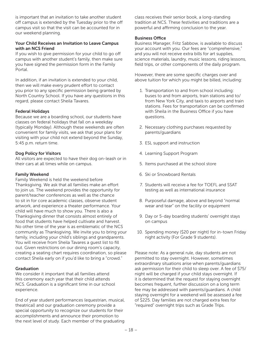is important that an invitation to take another student off campus is extended by the Tuesday prior to the off campus visit so that the visit can be accounted for in our weekend planning.

#### Your Child Receives an Invitation to Leave Campus with an NCS Friend

If you wish to give permission for your child to go off campus with another student's family, then make sure you have signed the permission form in the Family Portal.

In addition, if an invitation is extended to your child, then we will make every prudent effort to contact you prior to any specific permission being granted by North Country School. If you have any questions in this regard, please contact Sheila Tavares.

#### Federal Holidays

Because we are a boarding school, our students have classes on federal holidays that fall on a weekday (typically Monday). Although these weekends are often convenient for family visits, we ask that your plans for visiting with your child not extend beyond the Sunday, 5:45 p.m. return time.

#### Dog Policy for Visitors

All visitors are expected to have their dog on-leash or in their cars at all times while on campus.

#### Family Weekend

Family Weekend is held the weekend before Thanksgiving. We ask that all families make an effort to join us. The weekend provides the opportunity for parent/teacher conferences as well as the chance to sit in for core academic classes, observe student artwork, and experience a theater performance. Your child will have much to show you. There is also a Thanksgiving dinner that consists almost entirely of food that students have helped cultivate and harvest. No other time of the year is as emblematic of the NCS community as Thanksgiving. We invite you to bring your family, including your child's siblings and grandparents. You will receive from Sheila Tavares a guest list to fill out. Given restrictions on our dining room's capacity, creating a seating chart requires coordination, so please contact Sheila early on if you'd like to bring a "crowd."

#### Graduation

We consider it important that all families attend this ceremony each year that their child attends NCS. Graduation is a significant time in our school experience.

End of year student performances (equestrian, musical, theatrical) and our graduation ceremony provide a special opportunity to recognize our students for their accomplishments and announce their promotion to the next level of study. Each member of the graduating

class receives their senior book, a long-standing tradition at NCS. These festivities and traditions are a powerful and affirming conclusion to the year.

#### Business Office

Business Manager, Fritz Sabbow, is available to discuss your account with you. Our fees are "comprehensive," and you will not receive extra bills for art supplies, science materials, laundry, music lessons, riding lessons, field trips, or other components of the daily program.

However, there are some specific charges over and above tuition for which you might be billed, including:

- 1. Transportation to and from school including: buses to and from airports, train stations and to/ from New York City, and taxis to airports and train stations. Fees for transportation can be confirmed with Sheila in the Business Office if you have questions.
- 2. Necessary clothing purchases requested by parents/guardians
- 3. ESL support and instruction
- 4. Learning Support Program
- 5. Items purchased at the school store
- 6. Ski or Snowboard Rentals
- 7. Students will receive a fee for TOEFL and SSAT testing as well as international insurance
- 8. Purposeful damage, above and beyond "normal wear and tear" on the facility or equipment
- 9. Day or 5-day boarding students' overnight stays on campus
- 10. Spending money (\$20 per night) for in-town Friday night activity (For Grade 9 students).

Please note: As a general rule, day students are not permitted to stay overnight. However, sometimes extraordinary situations arise when parents/guardians ask permission for their child to sleep over. A fee of \$75/ night will be charged if your child stays overnight. If it is determined that the request for staying overnight becomes frequent, further discussion on a long term fee may be addressed with parents/guardians. A child staying overnight for a weekend will be assessed a fee of \$225. Day families are not charged extra fees for "required" overnight trips such as Grade Trips.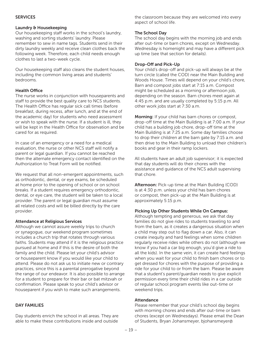#### **SERVICES**

#### Laundry & Housekeeping

Our housekeeping staff works in the school's laundry, washing and sorting students' laundry. Please remember to sew in name tags. Students send in their dirty laundry weekly and receive clean clothes back the following week. Therefore, each child needs enough clothes to last a two-week cycle.

Our housekeeping staff also cleans the student houses, including the common living areas and students' bedrooms.

#### Health Office

The nurse works in conjunction with houseparents and staff to provide the best quality care to NCS students. The Health Office has regular sick call times (before breakfast, during recess, after lunch, and at the end of the academic day) for students who need assessment or wish to speak with the nurse. If a student is ill, they will be kept in the Health Office for observation and be cared for as required.

In case of an emergency or a need for a medical evaluation, the nurse or other NCS staff will notify a parent or legal guardian. If you cannot be reached then the alternate emergency contact identified on the Authorization to Treat Form will be notified.

We request that all non-emergent appointments, such as orthodontic, dental, or eye exams, be scheduled at home prior to the opening of school or on school breaks. If a student requires emergency orthodontic, dental, or eye care, the student will be taken to a local provider. The parent or legal guardian must assume all related costs and will be billed directly by the care provider.

#### Attendance at Religious Services

Although we cannot assure weekly trips to church or synagogue, our weekend program sometimes includes a church trip that rotates through various faiths. Students may attend if it is the religious practice pursued at home and if this is the desire of both the family and the child. Please let your child's advisor or houseparent know if you would like your child to attend. Please do not ask us to initiate new or contrary practices, since this is a parental prerogative beyond the range of our endeavor. It is also possible to arrange for a student to prepare for their bar or bat mitzvah or confirmation. Please speak to your child's advisor or houseparent if you wish to make such arrangements.

#### DAY FAMILIES

Day students enrich the school in all areas. They are able to make these contributions inside and outside

the classroom because they are welcomed into every aspect of school life.

#### The School Day

The school day begins with the morning job and ends after out-time or barn chores, except on Wednesday. Wednesday is homenight and may have a different pick up time (see that section for details).

#### Drop-Off and Pick-Up

Your child's drop-off and pick-up will always be at the turn circle (called the COD) near the Main Building and Woods House. Times will depend on your child's chore, Barn and compost jobs start at 7:15 a.m. Compost might be scheduled as a morning or afternoon job, depending on the season. Barn chores meet again at 4:45 p.m. and are usually completed by 5:15 p.m. All other work jobs start at 7:30 a.m.

Morning: If your child has barn chores or compost, drop-off time at the Main Building is at 7:00 a.m. If your child has a building job chore, drop-off time at the Main Building is at 7:25 a.m. Some day families choose to drop their children at the barn gate by 7:15 a.m. and then drive to the Main Building to unload their children's books and gear in their ramp lockers.

All students have an adult job supervisor; it is expected that day students will do their chores with the assistance and guidance of the NCS adult supervising that chore.

Afternoon: Pick-up time at the Main Building (COD) is at 4:30 p.m. unless your child has barn chores or compost, then pick-up at the Main Building is at approximately 5:15 p.m.

#### Picking Up Other Students While On Campus:

Although tempting and generous, we ask that day families do not give rides to students traveling to and from the barn, as it creates a dangerous situation when a child may step out to flag down a car. Also, it can create inequity and hard feelings when some children regularly receive rides while others do not (although we know if you had a car big enough, you'd give a ride to all the kids). In the same vein, it can create hard feelings when you wait for your child to finish barn chores or to get dressed for chores with the purpose of providing a ride for your child to or from the barn. Please be aware that a student's parent/guardian needs to give explicit permission every time their child rides in a car outside of regular school program events like out-time or weekend trips.

#### Attendance

Please remember that your child's school day begins with morning chores and ends after out-time or barn chores (except on Wednesdays). Please email the Dean of Students, Bryan Johansmeyer, bjohansmeyer@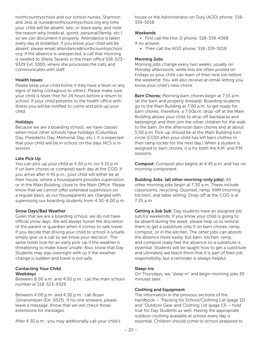northcountryschool and our school nurses, Shannon and Jess at nurse@northcountryschool.org any time your child will be absent, late, or leave early, and note the reason why (medical, sports, personal/family, etc.) so we can document it properly. Attendance is taken every day at breakfast. If you know your child will be absent, please email attendance@northcountryschool. org. If the absence is unexpected, a call that morning is needed to Sheila Tavares in the main office 518-523- 9329 Ext. 1000, where she processes the calls and communicates with staff.

#### Health Issues

Please keep your child home if they have a fever or any signs of being contagious to others. Please make sure your child is fever-free for 24 hours before a return to school. If your child presents to the health office with illness you will be notified to come and pick up your child.

#### Holidays

Because we are a boarding school, we have classes when most other schools have holidays (Columbus Day, Presidents Day, Memorial Day, etc.). It is expected that your child will be in school on the days NCS is in session.

#### Late Pick Up

You can pick up your child at 4:30 p.m. (or 5:15 p.m. if on barn chores or compost) each day at the COD. If you arrive after 4:45 p.m., your child will either be at their house, where a houseparent provides supervision, or in the Main Building, close to the Main Office. Please know that we cannot offer extended supervision on a regular basis, as our houseparents are charged with supervising our boarding students from 4:30-6:00 p.m.

#### Snow Days/Bad Weather

Given that we are a boarding school, we do not have official snow days. We will always honor the discretion of the parent or guardian when it comes to safe travel. If you decide that driving your child to school is unsafe, simply give us a call so we know your decision. The same holds true for an early pick-up if the weather is threatening to make travel unsafe. Also, know that Day Students may stay overnight with us if the weather change is sudden and travel is not safe.

#### Contacting Your Child Weekdays

Between 8:00 a.m. and 4:00 p.m.: call the main school number at 518-523-9329.

Between 4:00 p.m. and 4:30 p.m.: call Bryan Johansmeyer (Ext. 6525). If no one answers, please leave a message. Know that we will check those extensions for messages.

After 4:30 p.m.: you may additionally call your child's

house or the Administrator on Duty (AOD) phone: 518- 339-5018

#### **Weekends**

• First call the Hot-D phone: 518-339-4368 If no answer,

• Then call the AOD phone: 518-339-5018

#### Morning Jobs

Morning jobs change every two weeks, usually on Monday afternoons, while lists are often posted on Fridays so your child can learn of their new job before the weekend. You will also receive an email letting you know your child's new chore.

**Barn Chores:** Morning barn chores begin at 7:15 a.m. (at the barn and properly dressed). Boarding students go to the Main Building at 7:00 a.m. to get ready for barn chores; therefore, a 7:00a.m. drop-off at the Main Building allows your child to drop off backpacks and belongings and then join the other children for the walk to the barn. (In the afternoon barn chores end at about 5:00 p.m. Pick-up should be at the Main Building turn circle (COD) after your child has left barn clothes in their ramp locker for the next day.) When a student is assigned to barn chores, it is for both the A.M. and P.M. sessions.

**Compost:** Compost also begins at 4:45 p.m. and has no morning component.

#### Building Jobs (all other morning-only jobs): All

other morning jobs begin at 7:30 a.m. These include classrooms, recycling, Quonset, ramp, KAM (morning kitchen), and table setting. Drop-off at the COD is at 7:25 a.m.

Getting a Job Sub: Day students have an assigned job sub for weekends. If you know your child is going to be absent during the week, please help us to remind them to get a substitute only if on barn chores, ramp, compost, or in the kitchen. The other jobs can absorb the absence more easily, but barn, kitchen, ramp, and compost really feel the absence so a substitute is essential. Students will be taught how to get a substitute and ultimately we teach them that it is part of their job responsibility, but a reminder is always helpful.

#### Sleep-Ins

On Thursdays, we "sleep in" and begin morning jobs 30 minutes later.

#### Clothing and Equipment

The information in the previous sections of the handbook – "Packing for School/Clothing List (page 12) and "Outdoor Gear and Clothing List (page 13) – hold true for Day Students as well. Having the appropriate outdoor clothing available at school every day is essential. Children should come to school prepared to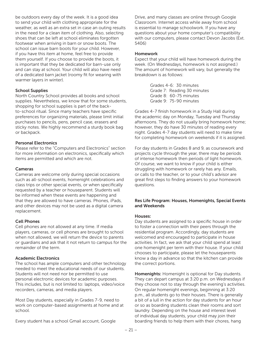be outdoors every day of the week. It is a good idea to send your child with clothing appropriate for the weather, as well as an extra set in case an outing results in the need for a clean item of clothing. Also, selecting shoes that can be left at school eliminates forgotten footwear when arriving in barn or snow boots. The school can issue barn boots for your child. However, if you have this item at home, feel free to provide them yourself. If you choose to provide the boots, it is important that they be dedicated for barn-use only and can stay at school. Your child will also have need of a dedicated barn jacket (roomy fit for wearing with warmer layers in winter).

#### School Supplies

North Country School provides all books and school supplies. Nevertheless, we know that for some students, shopping for school supplies is part of the backto-school ritual. Since many teachers have specific preferences for organizing materials, please limit initial purchases to pencils, pens, pencil case, erasers and sticky notes. We highly recommend a sturdy book bag or backpack.

#### Personal Electronics

Please refer to the "Computers and Electronics" section for more information on electronics, specifically which items are permitted and which are not.

#### Cameras

Cameras are welcome only during special occasions such as all-school events, homenight celebrations and class trips or other special events, or when specifically requested by a teacher or houseparent. Students will be informed when these events are happening and that they are allowed to have cameras. Phones, iPads, and other devices may not be used as a digital camera replacement.

#### Cell Phones

Cell phones are not allowed at any time. If media players, cameras, or cell phones are brought to school when not allowed, we will return the device to parents or guardians and ask that it not return to campus for the remainder of the term.

#### Academic Electronics

The school has ample computers and other technology needed to meet the educational needs of our students. Students will not need nor be permitted to use personal electronic devices for academic purposes. This includes, but is not limited to: laptops, video/voice recorders, cameras, and media players.

Most Day students, especially in Grades 7-9, need to work on computer-based assignments at home and at school.

Every student has a school Gmail account, Google

Drive, and many classes are online through Google Classroom. Internet access while away from school is essential to manage schoolwork. If you have any questions about your home computer's compatibility with our computers, please contact Devon Jacobs (Ext. 5406)

#### Homework

Expect that your child will have homework during the week. (On Wednesdays, homework is not assigned.) The amount of homework will vary, but generally the breakdown is as follows:

> Grades 4-6: 30 minutes Grade 7: Reading 30 minutes Grade 8: 60-75 minutes Grade 9: 75-90 minutes

Grades 4-7 finish homework in a Study Hall during the academic day on Monday, Tuesday and Thursday afternoons. They do not usually bring homework home; however, they do have 30 minutes of reading every night. Grades 4-7 day students will need to make time for completing homework on weekends if it is assigned.

For day students in Grades 8 and 9, as coursework and projects cycle through the year, there may be periods of intense homework then periods of light homework. Of course, we want to know if your child is either struggling with homework or rarely has any. Emails, or calls to the teacher, or to your child's advisor are great first steps to finding answers to your homework questions.

#### Res Life Program: Houses, Homenights, Special Events and Weekends

#### Houses:

Day students are assigned to a specific house in order to foster a connection with their peers through the residential program. Accordingly, day students are welcomed and encouraged to participate in house activities. In fact, we ask that your child spend at least one homenight per term with their house. If your child chooses to participate, please let the houseparents know a day in advance so that the kitchen can provide the correct portions.

Homenights: Homenight is optional for Day students. They can depart campus at 3:20 p.m. on Wednesdays if they choose not to stay through the evening's activities. On regular homenight evenings, beginning at 3:20 p.m., all students go to their houses. There is generally a bit of a lull in the action for day students for an hour or so as boarding students clean their rooms and sort laundry. Depending on the house and interest level of individual day students, your child may join their boarding friends to help them with their chores, hang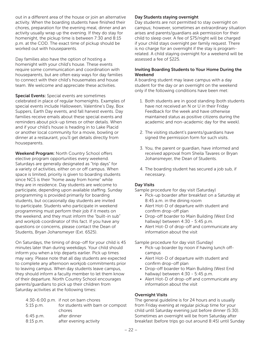out in a different area of the house or join an alternative activity. When the boarding students have finished their chores, preparation for the evening meal, dinner and an activity usually wrap up the evening. If they do stay for homenight, the pickup time is between 7:30 and 8:15 p.m. at the COD. The exact time of pickup should be worked out with houseparents.

Day families also have the option of hosting a homenight with your child's house. These events require some communication and coordination with houseparents, but are often easy ways for day families to connect with their child's housemates and house team. We welcome and appreciate these activities.

Special Events: Special events are sometimes celebrated in place of regular homenights. Examples of special events include Halloween, Valentine's Day, Box Suppers, Earth Day events, and fall harvest events. Day families receive emails about these special events and reminders about pick-up times or other details. When and if your child's house is heading in to Lake Placid or another local community for a movie, bowling or dinner at a restaurant, you'll get details directly from houseparents.

Weekend Program: North Country School offers elective program opportunities every weekend. Saturdays are generally designated as "trip days" for a variety of activities, either on or off campus. When space is limited, priority is given to boarding students since NCS is their "home away from home" while they are in residence. Day students are welcome to participate, depending upon available staffing. Sunday programming is provided primarily for boarding students, but occasionally day students are invited to participate. Students who participate in weekend programming must perform their job if it meets on the weekend, and they must inform the "built-in sub" and workjob coordinator of this fact. If you have any questions or concerns, please contact the Dean of Students, Bryan Johansmeyer (Ext. 6525).

On Saturdays, the timing of drop-off for your child is 45 minutes later than during weekdays. Your child should inform you when a trip departs earlier. Pick up times may vary. Please note that all day students are expected to complete any afternoon workjob commitments prior to leaving campus. When day students leave campus, they should inform a faculty member to let them know of their departure. North Country School encourages parents/guardians to pick up their children from Saturday activities at the following times:

|           | 4:30-6:00 p.m. if not on barn chores |
|-----------|--------------------------------------|
| 5:15 p.m. | for students with barn or compost    |

|             | chores                 |
|-------------|------------------------|
| $6:45$ p.m. | after dinner           |
| $8:15$ p.m. | after evening activity |

#### Day Students staying overnight

Day students are not permitted to stay overnight on campus; however, sometimes an extraordinary situation arises and parents/guardians ask permission for their child to sleep over. A fee of \$75/night will be charged if your child stays overnight per family request. There is no charge for an overnight if the stay is programrelated. A child staying overnight for a weekend will be assessed a fee of \$225.

#### Inviting Boarding Students to Your Home During the Weekend

A boarding student may leave campus with a day student for the day or an overnight on the weekend only if the following conditions have been met:

- 1. Both students are in good standing (both students have not received an N or U in their Friday Feedback for the week and have otherwise maintained status as positive citizens during the academic and non-academic day for the week).
- 2. The visiting student's parents/guardians have signed the permission form for such visits.
- 3. You, the parent or guardian, have informed and received approval from Sheila Tavares or Bryan Johansmeyer, the Dean of Students.
- 4. The boarding student has secured a job sub, if necessary.

#### Day Visits

Sample procedure for day visit (Saturday)

- Pick-up boarder after breakfast on a Saturday at 8:45 a.m. in the dining room
- Alert Hot-D of departure with student and confirm drop-off plan
- Drop-off boarder to Main Building (West End hallway) between 4:30 - 5:45 p.m.
- Alert Hot-D of drop-off and communicate any information about the visit

Sample procedure for day visit (Sunday)

- Pick-up boarder by noon if having lunch off campus
- Alert Hot-D of departure with student and confirm drop-off plan
- Drop-off boarder to Main Building (West End hallway) between 4:30 - 5:45 p.m.
- Alert Hot-D of drop-off and communicate any information about the visit

#### Overnight Visits

The general guideline is for 24 hours and is usually from Friday evening at regular pickup time for your child until Saturday evening just before dinner (5:30). Sometimes an overnight will be from Saturday after breakfast (before trips go out around 8:45) until Sunday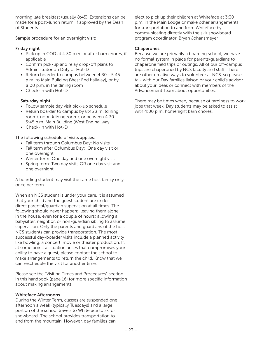morning late breakfast (usually 8:45). Extensions can be made for a post-lunch return, if approved by the Dean of Students.

#### Sample procedure for an overnight visit:

#### Friday night

- PIck up in COD at 4:30 p.m. or after barn chores, if applicable
- Confirm pick-up and relay drop-off plans to Administrator on Duty or Hot-D
- Return boarder to campus between 4:30 5:45 p.m. to Main Building (West End hallway), or by 8:00 p.m. in the dining room
- Check-in with Hot-D

#### Saturday night

- Follow sample day visit pick-up schedule
- Return boarder to campus by 8:45 a.m. (dining room), noon (dining room), or between 4:30 - 5:45 p.m. Main Building (West End hallway
- Check-in with Hot-D

#### The following schedule of visits applies:

- Fall term through Columbus Day: No visits
- Fall term after Columbus Day: One day visit or one overnight
- Winter term: One day and one overnight visit
- Spring term: Two day visits OR one day visit and one overnight

A boarding student may visit the same host family only once per term.

When an NCS student is under your care, it is assumed that your child and the guest student are under direct parental/guardian supervision at all times. The following should never happen: leaving them alone in the house, even for a couple of hours; allowing a babysitter, neighbor, or non-guardian sibling to assume supervision. Only the parents and guardians of the host NCS students can provide transportation. The most successful day-boarder visits include a planned activity like bowling, a concert, movie or theater production. If, at some point, a situation arises that compromises your ability to have a guest, please contact the school to make arrangements to return the child. Know that we can reschedule the visit for another time.

Please see the "Visiting Times and Procedures" section in this handbook (page 16) for more specific information about making arrangements.

#### Whiteface Afternoons

During the Winter Term, classes are suspended one afternoon a week (typically Tuesdays) and a large portion of the school travels to Whiteface to ski or snowboard. The school provides transportation to and from the mountain. However, day families can

elect to pick up their children at Whiteface at 3:30 p.m. in the Main Lodge or make other arrangements for transportation to and from Whiteface by communicating directly with the ski/ snowboard program coordinator, Bryan Johansmeyer

#### **Chaperones**

Because we are primarily a boarding school, we have no formal system in place for parents/guardians to chaperone field trips or outings. All of our off-campus trips are chaperoned by NCS faculty and staff. There are other creative ways to volunteer at NCS, so please talk with our Day families liaison or your child's advisor about your ideas or connect with members of the Advancement Team about opportunities.

There may be times when, because of tardiness to work jobs that week, Day students may be asked to assist with 4:00 p.m. homenight barn chores.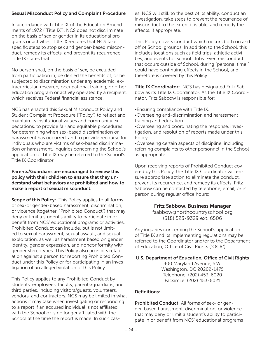#### Sexual Misconduct Policy and Complaint Procedure

In accordance with Title IX of the Education Amendments of 1972 ("Title IX"), NCS does not discriminate on the basis of sex or gender in its educational programs or activities. Title IX requires that NCS take specific steps to stop sex and gender-based misconduct, remedy its effects, and prevent its recurrence. Title IX states that:

No person shall, on the basis of sex, be excluded from participation in, be denied the benefits of, or be subjected to discrimination under any academic, extracurricular, research, occupational training, or other education program or activity operated by a recipient, which receives Federal financial assistance.

NCS has enacted this Sexual Misconduct Policy and Student Complaint Procedure ("Policy") to reflect and maintain its institutional values and community expectations, to provide fair and equitable procedures for determining when sex-based discrimination or harassment has occurred, and to provide recourse for individuals who are victims of sex-based discrimination or harassment. Inquiries concerning the School's application of Title IX may be referred to the School's Title IX Coordinator.

#### Parents/Guardians are encouraged to review this policy with their children to ensure that they understand what behaviors are prohibited and how to make a report of sexual misconduct.

Scope of this Policy: This Policy applies to all forms of sex-or gender-based harassment, discrimination, or violence (together, "Prohibited Conduct") that may deny or limit a student's ability to participate in or benefit from NCS' educational programs or activities. Prohibited Conduct can include, but is not limited to sexual harassment, sexual assault, and sexual exploitation, as well as harassment based on gender identity, gender expression, and nonconformity with gender stereotypes. This Policy also prohibits retaliation against a person for reporting Prohibited Conduct under this Policy or for participating in an investigation of an alleged violation of this Policy.

This Policy applies to any Prohibited Conduct by students, employees, faculty, parents/guardians, and third parties, including visitors/guests, volunteers, vendors, and contractors. NCS may be limited in what actions it may take when investigating or responding to a report if an accused individual is not affiliated with the School or is no longer affiliated with the School at the time the report is made. In such cas-

es, NCS will still, to the best of its ability, conduct an investigation, take steps to prevent the recurrence of misconduct to the extent it is able, and remedy the effects, if appropriate.

This Policy covers conduct which occurs both on and off of School grounds. In addition to the School, this includes locations such as field trips, athletic activities, and events for School clubs. Even misconduct that occurs outside of School, during "personal time," could have continuing effects in the School, and therefore is covered by this Policy.

Title IX Coordinator: NCS has designated Fritz Sabbow as its Title IX Coordinator. As the Title IX Coordinator, Fritz Sabbow is responsible for:

•Ensuring compliance with Title IX.

- •Overseeing anti-discrimination and harassment training and education.
- •Overseeing and coordinating the response, investigation, and resolution of reports made under this Policy.

•Overseeing certain aspects of discipline, including referring complaints to other personnel in the School as appropriate.

Upon receiving reports of Prohibited Conduct covered by this Policy, the Title IX Coordinator will ensure appropriate action to eliminate the conduct, prevent its recurrence, and remedy its effects. Fritz Sabbow can be contacted by telephone, email, or in person during regular office hours:

#### Fritz Sabbow, Business Manager

fsabbow@northcountryschool.org (518) 523-9329 ext. 6506

Any inquiries concerning the School's application of Title IX and its implementing regulations may be referred to the Coordinator and/or to the Department of Education, Office of Civil Rights ("OCR"):

#### U.S. Department of Education, Office of Civil Rights

400 Maryland Avenue, S.W. Washington, DC 20202-1475 Telephone: (202) 453-6020 Facsimile: (202) 453-6021

#### Definitions:

Prohibited Conduct: All forms of sex- or gender-based harassment, discrimination, or violence that may deny or limit a student's ability to participate in or benefit from NCS' educational programs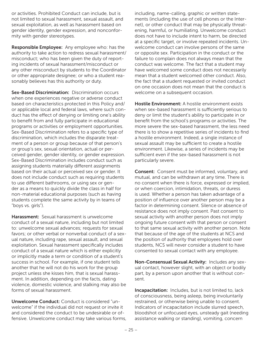or activities. Prohibited Conduct can include, but is not limited to sexual harassment, sexual assault, and sexual exploitation, as well as harassment based on gender identity, gender expression, and nonconformity with gender stereotypes.

Responsible Employee: Any employee who: has the authority to take action to redress sexual harassment/ misconduct; who has been given the duty of reporting incidents of sexual harassment/misconduct or any other misconduct by students to the Coordinator or other appropriate designee; or who a student reasonably believes has this authority or duty.

Sex-Based Discrimination: Discrimination occurs when one experiences negative or adverse conduct based on characteristics protected in this Policy and/ or applicable local and federal laws, where such conduct has the effect of denying or limiting one's ability to benefit from and fully participate in educational programs or activities or employment opportunities. Sex-Based Discrimination refers to a specific type of discrimination, which includes the disparate treatment of a person or group because of that person's or group's sex, sexual orientation, actual or perceived gender, gender identity, or gender expression. Sex-Based Discrimination includes conduct such as assigning students materially different assignments based on their actual or perceived sex or gender. It does not include conduct such as requiring students to use different bathrooms, or using sex or gender as a means to quickly divide the class in half for non-material educational purposes (such as having students complete the same activity by in teams of "boys vs. girls").

Harassment: Sexual harassment is unwelcome conduct of a sexual nature, including but not limited to: unwelcome sexual advances; requests for sexual favors; or other verbal or nonverbal conduct of a sexual nature, including rape, sexual assault, and sexual exploitation. Sexual harassment specifically includes conduct of a sexual nature which is either explicitly or implicitly made a term or condition of a student's success in school. For example, if one student tells another that he will not do his work for the group project unless she kisses him, that is sexual harassment. In addition, depending on the facts, dating violence, domestic violence, and stalking may also be forms of sexual harassment.

Unwelcome Conduct: Conduct is considered "unwelcome" if the individual did not request or invite it and considered the conduct to be undesirable or offensive. Unwelcome conduct may take various forms, including, name-calling, graphic or written statements (including the use of cell phones or the Internet), or other conduct that may be physically threatening, harmful, or humiliating. Unwelcome conduct does not have to include intent to harm, be directed at a specific target, or involve repeated incidents. Unwelcome conduct can involve persons of the same or opposite sex. Participation in the conduct or the failure to complain does not always mean that the conduct was welcome. The fact that a student may have welcomed some conduct does not necessarily mean that a student welcomed other conduct. Also, the fact that a student requested or invited conduct on one occasion does not mean that the conduct is welcome on a subsequent occasion.

Hostile Environment: A hostile environment exists when sex-based harassment is sufficiently serious to deny or limit the student's ability to participate in or benefit from the school's programs or activities. The more severe the sex-based harassment, the less need there is to show a repetitive series of incidents to find a hostile environment. Indeed, a single instance of sexual assault may be sufficient to create a hostile environment. Likewise, a series of incidents may be sufficient even if the sex-based harassment is not particularly severe.

Consent: Consent must be informed, voluntary, and mutual, and can be withdrawn at any time. There is no consent when there is force, expressed or implied, or when coercion, intimidation, threats, or duress is used. Whether a person has taken advantage of a position of influence over another person may be a factor in determining consent. Silence or absence of resistance does not imply consent. Past consent to sexual activity with another person does not imply ongoing future consent with that person or consent to that same sexual activity with another person. Note that because of the age of the students at NCS and the position of authority that employees hold over students, NCS will never consider a student to have consented to sexual contact with any employee.

Non-Consensual Sexual Activity: Includes any sexual contact, however slight, with an object or bodily part, by a person upon another that is without consent.

Incapacitation: Includes, but is not limited to, lack of consciousness, being asleep, being involuntarily restrained, or otherwise being unable to consent. Indicators of incapacitation include slurred speech, bloodshot or unfocused eyes, unsteady gait (needing assistance walking or standing), vomiting, concern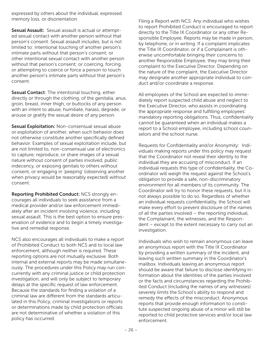expressed by others about the individual, expressed memory loss, or disorientation.

Sexual Assault: Sexual assault is actual or attempted sexual contact with another person without that person's consent. Sexual assault includes, but is not limited to: intentional touching of another person's intimate parts without that person's consent; or other intentional sexual contact with another person without that person's consent; or coercing, forcing, or attempting to coerce or force a person to touch another person's intimate parts without that person's consent.

Sexual Contact: The intentional touching, either directly or through the clothing, of the genitalia, anus, groin, breast, inner thigh, or buttocks of any person with an intent to abuse, humiliate, harass, degrade, or arouse or gratify the sexual desire of any person.

Sexual Exploitation: Non-consensual sexual abuse or exploitation of another, when such behavior does not otherwise constitute another specifically defined behavior. Examples of sexual exploitation include, but are not limited to, non-consensual use of electronics to capture, reproduce, or share images of a sexual nature without consent of parties involved, public indecency, or exposing genitals to others without consent, or engaging in 'peeping' (observing another when privacy would be reasonably expected) without consent.

Reporting Prohibited Conduct: NCS strongly encourages all individuals to seek assistance from a medical provider and/or law enforcement immediately after an incident involving violence, including sexual assault. This is the best option to ensure preservation of evidence and to begin a timely investigative and remedial response.

NCS also encourages all individuals to make a report of Prohibited Conduct to both NCS and to local law enforcement, although neither is required. These reporting options are not mutually exclusive. Both internal and external reports may be made simultaneously. The procedures under this Policy may run concurrently with any criminal justice or child protection investigation, and will only be subject to temporary delays at the specific request of law enforcement. Because the standards for finding a violation of a criminal law are different from the standards articulated in this Policy, criminal investigations or reports or determinations made by child protection officials are not determinative of whether a violation of this policy has occurred.

Filing a Report with NCS: Any individual who wishes to report Prohibited Conduct is encouraged to report directly to the Title IX Coordinator or any other Responsible Employee. Reports may be made in person, by telephone, or in writing. If a complaint implicates the Title IX Coordinator, or if a Complainant is otherwise uncomfortable bringing their concerns to another Responsible Employee, they may bring their complaint to the Executive Director. Depending on the nature of the complaint, the Executive Director may designate another appropriate individual to conduct and/or coordinate a response.

All employees of the School are expected to immediately report suspected child abuse and neglect to the Executive Director, who assists in coordinating the appropriate response and fulfilling employees' mandatory reporting obligations. Thus, confidentiality cannot be guaranteed when an individual makes a report to a School employee, including school counselors and the school nurse.

Requests for Confidentiality and/or Anonymity: Individuals making reports under this policy may request that the Coordinator not reveal their identity to the individual they are accusing of misconduct. If an individual requests this type of confidentiality, the Coordinator will weigh the request against the School's obligation to provide a safe, non-discriminatory environment for all members of its community. The Coordinator will try to honor these requests, but it is not always possible to do so. Regardless of whether an individual requests confidentiality, the School will make every effort to prevent disclosure of the names of all the parties involved – the reporting individual, the Complainant, the witnesses, and the Respondent – except to the extent necessary to carry out an investigation.

Individuals who wish to remain anonymous can leave an anonymous report with the Title IX Coordinator by providing a written summary of the incident, and leaving such written summary in the Coordinator's mailbox. Individuals leaving an anonymous report should be aware that failure to disclose identifying information about the identities of the parties involved or the facts and circumstances regarding the Prohibited Conduct (including the names of any witnesses) severely limits the School's ability to respond and remedy the effects of the misconduct. Anonymous reports that provide enough information to constitute suspected ongoing abuse of a minor will still be reported to child protective services and/or local law enforcement.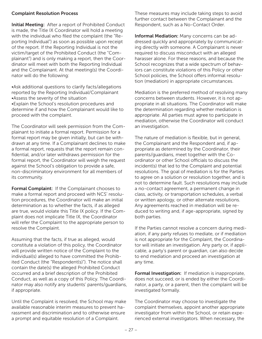#### Complaint Resolution Process

Initial Meeting: After a report of Prohibited Conduct is made, the Title IX Coordinator will hold a meeting with the individual who filed the complaint (the "Reporting Individual") as soon as possible upon receipt of the report. If the Reporting Individual is not the victim/target of the Prohibited Conduct (the "Complainant") and is only making a report, then the Coordinator will meet with both the Reporting Individual and the Complainant. At that meeting(s) the Coordinator will do the following:

•Ask additional questions to clarify facts/allegations reported by the Reporting Individual/Complainant •Assess the severity of the situation •Explain the School's resolution procedures and

determine if and how the Complainant would like to proceed with the complaint.

The Coordinator will seek permission from the Complainant to initiate a formal report. Permission for a formal report may be given initially, but can be withdrawn at any time. If a Complainant declines to make a formal report, requests that the report remain confidential, and/or later withdraws permission for the formal report, the Coordinator will weigh the request against the School's obligation to provide a safe, non-discriminatory environment for all members of its community.

Formal Complaint: If the Complainant chooses to make a formal report and proceed with NCS' resolution procedures, the Coordinator will make an initial determination as to whether the facts, if as alleged are true, would violate this Title IX policy. If the Complaint does not implicate Title IX, the Coordinator will refer the Complaint to the appropriate person to resolve the Complaint.

Assuming that the facts, if true as alleged, would constitute a violation of this policy, the Coordinator will provide written notice of the Complaint to the individual(s) alleged to have committed the Prohibited Conduct (the "Respondent(s)"). The notice shall contain the date(s) the alleged Prohibited Conduct occurred and a brief description of the Prohibited Conduct, as well as a copy of this Policy. The Coordinator may also notify any students' parents/guardians, if appropriate.

Until the Complaint is resolved, the School may make available reasonable interim measures to prevent harassment and discrimination and to otherwise ensure a prompt and equitable resolution of a Complaint.

These measures may include taking steps to avoid further contact between the Complainant and the Respondent, such as a No-Contact Order.

Informal Mediation: Many concerns can be addressed quickly and appropriately by communicating directly with someone. A Complainant is never required to discuss misconduct with an alleged harasser alone. For these reasons, and because the School recognizes that a wide spectrum of behaviors can constitute violations of this Policy or other School policies, the School offers informal resolution (mediation) in appropriate circumstances.

Mediation is the preferred method of resolving many concerns between students. However, it is not appropriate in all situations. The Coordinator will make the determination regarding whether mediation is appropriate. All parties must agree to participate in mediation, otherwise the Coordinator will conduct an investigation.

The nature of mediation is flexible, but in general, the Complainant and the Respondent and, if appropriate as determined by the Coordinator, their parents/guardians, meet together with the Coordinator or other School officials to discuss the incident(s) that led to the Complaint and potential resolutions. The goal of mediation is for the Parties to agree on a solution or resolution together, and is not to determine fault. Such resolutions may include a no-contact agreement, a permanent change in class, activity, or transportation schedules, a verbal or written apology, or other alternate resolutions. Any agreements reached in mediation will be reduced to writing and, if age-appropriate, signed by both parties.

If the Parties cannot resolve a concern during mediation, if any party refuses to mediate, or if mediation is not appropriate for the Complaint, the Coordinator will initiate an investigation. Any party or, if applicable, a party's parent or guardian, can also decide to end mediation and proceed an investigation at any time.

Formal Investigation: If mediation is inappropriate, does not succeed, or is ended by either the Coordinator, a party, or a parent, then the complaint will be investigated formally.

The Coordinator may choose to investigate the complaint themselves, appoint another appropriate investigator from within the School, or retain experienced external investigators. When necessary, the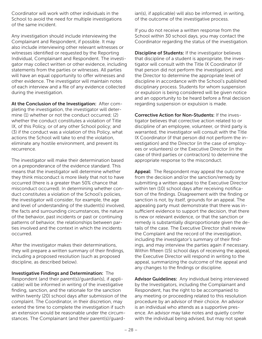Coordinator will work with other individuals in the School to avoid the need for multiple investigations of the same incident.

Any investigation should include interviewing the Complainant and Respondent, if possible. It may also include interviewing other relevant witnesses or witnesses identified or requested by the Reporting Individual, Complainant and Respondent. The investigator may collect written or other evidence, including statements from the parties or witnesses. All parties will have an equal opportunity to offer witnesses and other evidence. The investigator will maintain notes of each interview and a file of any evidence collected during the investigation.

At the Conclusion of the Investigation: After completing the investigation, the investigator will determine (1) whether or not the conduct occurred; (2) whether the conduct constitutes a violation of Title IX, of this Policy, or of any other School policy; and (3) if the conduct was a violation of this Policy, what actions the School will take to end the violation, eliminate any hostile environment, and prevent its recurrence.

The investigator will make their determination based on a preponderance of the evidence standard. This means that the investigator will determine whether they think misconduct is more likely that not to have occurred (there is a greater than 50% chance that misconduct occurred). In determining whether conduct constitutes a violation of the School's policies, the investigator will consider, for example, the age and level of understanding of the student(s) involved, the facts and surrounding circumstances, the nature of the behavior, past incidents or past or continuing patterns of behavior, the relationships between parties involved and the context in which the incidents occurred.

After the investigator makes their determinations, they will prepare a written summary of their findings, including a proposed resolution (such as proposed discipline, as described below).

Investigative Findings and Determination: The Respondent (and their parent(s)/guardian(s), if applicable) will be informed in writing of the investigative finding, sanction, and the rationale for the sanction within twenty (20) school days after submission of the complaint. The Coordinator, in their discretion, may extend the time to complete the investigation if such an extension would be reasonable under the circumstances. The Complainant (and their parent(s)/guard-

ian(s), if applicable) will also be informed, in writing, of the outcome of the investigative process.

If you do not receive a written response from the School within 30 school days, you may contact the Coordinator regarding the status of the investigation.

Discipline of Students: If the investigator believes that discipline of a student is appropriate, the investigator will consult with the Title IX Coordinator (if that person did not perform the investigation), and the Director to determine the appropriate level of discipline in accordance with the School's published disciplinary process. Students for whom suspension or expulsion is being considered will be given notice and an opportunity to be heard before a final decision regarding suspension or expulsion is made.

Corrective Action for Non-Students: If the investigator believes that corrective action related to or discipline of an employee, volunteer, or third party is warranted, the investigator will consult with the Title IX Coordinator (if that person did not perform the investigation) and the Director (in the case of employees or volunteers) or the Executive Director (in the case of third parties or contractors) to determine the appropriate response to the misconduct.

Appeal: The Respondent may appeal the outcome from the decision and/or the sanction/remedy by submitting a written appeal to the Executive Director within ten (10) school days after receiving notification of the findings. Disagreement with the finding or sanction is not, by itself, grounds for an appeal. The appealing party must demonstrate that there was insufficient evidence to support the decision, that there is new or relevant evidence, or that the sanction or remedy is substantially disproportionate given the details of the case. The Executive Director shall review the Complaint and the record of the investigation, including the investigator's summary of their findings, and may interview the parties again if necessary. Within fifteen (15) school days of receiving the appeal, the Executive Director will respond in writing to the appeal, summarizing the outcome of the appeal and any changes to the findings or discipline.

Advisor Guidelines: Any individual being interviewed by the Investigators, including the Complainant and Respondent, has the right to be accompanied to any meeting or proceeding related to this resolution procedure by an advisor of their choice. An advisor is an individual who attends as a supportive presence. An advisor may take notes and quietly confer with the individual being advised, but may not speak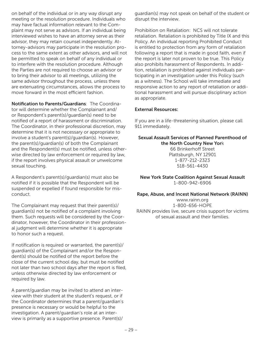on behalf of the individual or in any way disrupt any meeting or the resolution procedure. Individuals who may have factual information relevant to the Complaint may not serve as advisors. If an individual being interviewed wishes to have an attorney serve as their advisor, they may retain counsel independently. Attorney-advisors may participate in the resolution process to the same extent as other advisors, and will not be permitted to speak on behalf of any individual or to interfere with the resolution procedure. Although the Parties are not required to choose an advisor or to bring their advisor to all meetings, utilizing the same advisor throughout the process, unless there are extenuating circumstances, allows the process to move forward in the most efficient fashion.

Notification to Parents/Guardians: The Coordinator will determine whether the Complainant and/ or Respondent's parent(s)/guardian(s) need to be notified of a report of harassment or discrimination. The Coordinator, in their professional discretion, may determine that it is not necessary or appropriate to involve a student's parent(s)/guardian(s). However, the parent(s)/guardian(s) of both the Complainant and the Respondent(s) must be notified, unless otherwise directed by law enforcement or required by law, if the report involves physical assault or unwelcome sexual touching.

A Respondent's parent(s)/guardian(s) must also be notified if it is possible that the Respondent will be suspended or expelled if found responsible for misconduct.

The Complainant may request that their parent(s)/ guardian(s) not be notified of a complaint involving them. Such requests will be considered by the Coordinator, however, the Coordinator in their professional judgment will determine whether it is appropriate to honor such a request.

If notification is required or warranted, the parent(s)/ guardian(s) of the Complainant and/or the Respondent(s) should be notified of the report before the close of the current school day, but must be notified not later than two school days after the report is filed, unless otherwise directed by law enforcement or required by law.

A parent/guardian may be invited to attend an interview with their student at the student's request, or if the Coordinator determines that a parent/guardian's presence is necessary or would be helpful to the investigation. A parent/guardian's role at an interview is primarily as a supportive presence. Parent(s)/

guardian(s) may not speak on behalf of the student or disrupt the interview.

Prohibition on Retaliation: NCS will not tolerate retaliation. Retaliation is prohibited by Title IX and this Policy. An individual reporting Prohibited Conduct is entitled to protection from any form of retaliation following a report that is made in good faith, even if the report is later not proven to be true. This Policy also prohibits harassment of Respondents. In addition, retaliation is prohibited against individuals participating in an investigation under this Policy (such as a witness). The School will take immediate and responsive action to any report of retaliation or additional harassment and will pursue disciplinary action as appropriate.

#### External Resources:

If you are in a life-threatening situation, please call 911 immediately.

Sexual Assault Services of Planned Parenthood of the North Country New York 66 Brinkerhoff Street Plattsburgh, NY 12901

1-877-212-2323 518-561-4430

New York State Coalition Against Sexual Assault 1-800-942-6906

Rape, Abuse, and Incest National Network (RAINN) www.rainn.org 1-800-656-HOPE RAINN provides live, secure crisis support for victims of sexual assault and their families.